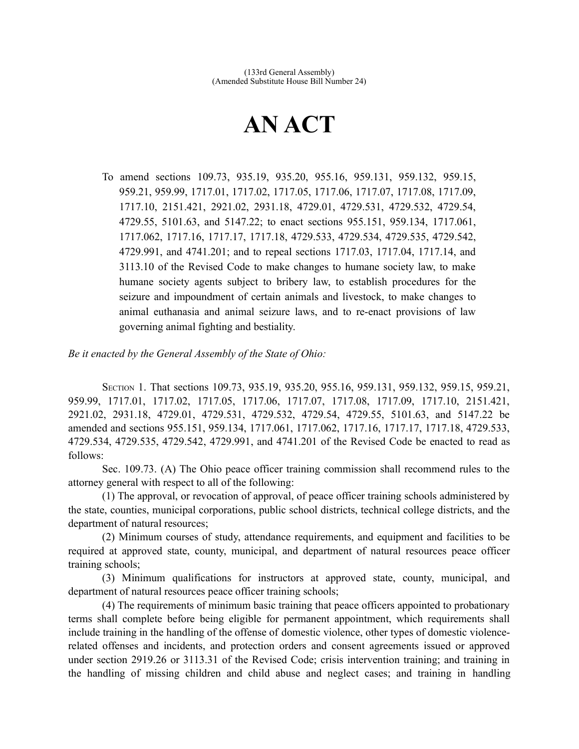## **AN ACT**

To amend sections 109.73, 935.19, 935.20, 955.16, 959.131, 959.132, 959.15, 959.21, 959.99, 1717.01, 1717.02, 1717.05, 1717.06, 1717.07, 1717.08, 1717.09, 1717.10, 2151.421, 2921.02, 2931.18, 4729.01, 4729.531, 4729.532, 4729.54, 4729.55, 5101.63, and 5147.22; to enact sections 955.151, 959.134, 1717.061, 1717.062, 1717.16, 1717.17, 1717.18, 4729.533, 4729.534, 4729.535, 4729.542, 4729.991, and 4741.201; and to repeal sections 1717.03, 1717.04, 1717.14, and 3113.10 of the Revised Code to make changes to humane society law, to make humane society agents subject to bribery law, to establish procedures for the seizure and impoundment of certain animals and livestock, to make changes to animal euthanasia and animal seizure laws, and to re-enact provisions of law governing animal fighting and bestiality.

*Be it enacted by the General Assembly of the State of Ohio:*

SECTION 1. That sections 109.73, 935.19, 935.20, 955.16, 959.131, 959.132, 959.15, 959.21, 959.99, 1717.01, 1717.02, 1717.05, 1717.06, 1717.07, 1717.08, 1717.09, 1717.10, 2151.421, 2921.02, 2931.18, 4729.01, 4729.531, 4729.532, 4729.54, 4729.55, 5101.63, and 5147.22 be amended and sections 955.151, 959.134, 1717.061, 1717.062, 1717.16, 1717.17, 1717.18, 4729.533, 4729.534, 4729.535, 4729.542, 4729.991, and 4741.201 of the Revised Code be enacted to read as follows:

Sec. 109.73. (A) The Ohio peace officer training commission shall recommend rules to the attorney general with respect to all of the following:

(1) The approval, or revocation of approval, of peace officer training schools administered by the state, counties, municipal corporations, public school districts, technical college districts, and the department of natural resources;

(2) Minimum courses of study, attendance requirements, and equipment and facilities to be required at approved state, county, municipal, and department of natural resources peace officer training schools;

(3) Minimum qualifications for instructors at approved state, county, municipal, and department of natural resources peace officer training schools;

(4) The requirements of minimum basic training that peace officers appointed to probationary terms shall complete before being eligible for permanent appointment, which requirements shall include training in the handling of the offense of domestic violence, other types of domestic violencerelated offenses and incidents, and protection orders and consent agreements issued or approved under section 2919.26 or 3113.31 of the Revised Code; crisis intervention training; and training in the handling of missing children and child abuse and neglect cases; and training in handling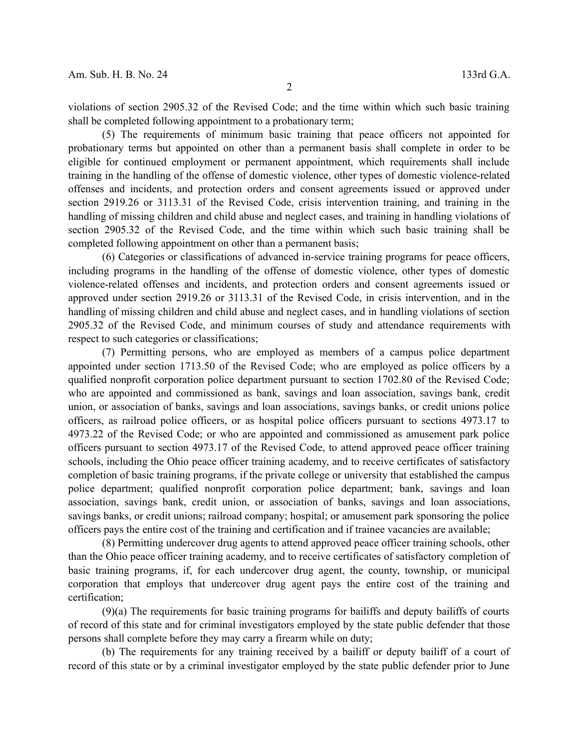violations of section 2905.32 of the Revised Code; and the time within which such basic training shall be completed following appointment to a probationary term;

(5) The requirements of minimum basic training that peace officers not appointed for probationary terms but appointed on other than a permanent basis shall complete in order to be eligible for continued employment or permanent appointment, which requirements shall include training in the handling of the offense of domestic violence, other types of domestic violence-related offenses and incidents, and protection orders and consent agreements issued or approved under section 2919.26 or 3113.31 of the Revised Code, crisis intervention training, and training in the handling of missing children and child abuse and neglect cases, and training in handling violations of section 2905.32 of the Revised Code, and the time within which such basic training shall be completed following appointment on other than a permanent basis;

(6) Categories or classifications of advanced in-service training programs for peace officers, including programs in the handling of the offense of domestic violence, other types of domestic violence-related offenses and incidents, and protection orders and consent agreements issued or approved under section 2919.26 or 3113.31 of the Revised Code, in crisis intervention, and in the handling of missing children and child abuse and neglect cases, and in handling violations of section 2905.32 of the Revised Code, and minimum courses of study and attendance requirements with respect to such categories or classifications;

(7) Permitting persons, who are employed as members of a campus police department appointed under section 1713.50 of the Revised Code; who are employed as police officers by a qualified nonprofit corporation police department pursuant to section 1702.80 of the Revised Code; who are appointed and commissioned as bank, savings and loan association, savings bank, credit union, or association of banks, savings and loan associations, savings banks, or credit unions police officers, as railroad police officers, or as hospital police officers pursuant to sections 4973.17 to 4973.22 of the Revised Code; or who are appointed and commissioned as amusement park police officers pursuant to section 4973.17 of the Revised Code, to attend approved peace officer training schools, including the Ohio peace officer training academy, and to receive certificates of satisfactory completion of basic training programs, if the private college or university that established the campus police department; qualified nonprofit corporation police department; bank, savings and loan association, savings bank, credit union, or association of banks, savings and loan associations, savings banks, or credit unions; railroad company; hospital; or amusement park sponsoring the police officers pays the entire cost of the training and certification and if trainee vacancies are available;

(8) Permitting undercover drug agents to attend approved peace officer training schools, other than the Ohio peace officer training academy, and to receive certificates of satisfactory completion of basic training programs, if, for each undercover drug agent, the county, township, or municipal corporation that employs that undercover drug agent pays the entire cost of the training and certification;

(9)(a) The requirements for basic training programs for bailiffs and deputy bailiffs of courts of record of this state and for criminal investigators employed by the state public defender that those persons shall complete before they may carry a firearm while on duty;

(b) The requirements for any training received by a bailiff or deputy bailiff of a court of record of this state or by a criminal investigator employed by the state public defender prior to June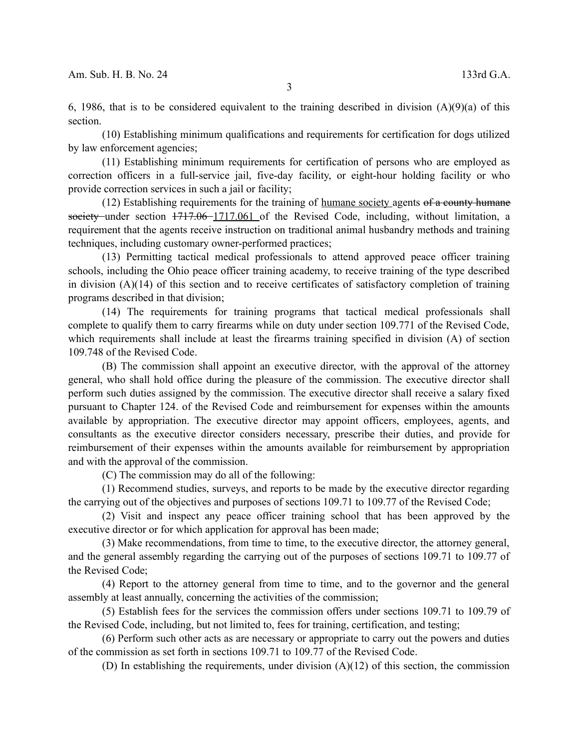6, 1986, that is to be considered equivalent to the training described in division  $(A)(9)(a)$  of this section.

(10) Establishing minimum qualifications and requirements for certification for dogs utilized by law enforcement agencies;

(11) Establishing minimum requirements for certification of persons who are employed as correction officers in a full-service jail, five-day facility, or eight-hour holding facility or who provide correction services in such a jail or facility;

(12) Establishing requirements for the training of humane society agents of a county humane society under section  $1717.06 - 1717.061$  of the Revised Code, including, without limitation, a requirement that the agents receive instruction on traditional animal husbandry methods and training techniques, including customary owner-performed practices;

(13) Permitting tactical medical professionals to attend approved peace officer training schools, including the Ohio peace officer training academy, to receive training of the type described in division  $(A)(14)$  of this section and to receive certificates of satisfactory completion of training programs described in that division;

(14) The requirements for training programs that tactical medical professionals shall complete to qualify them to carry firearms while on duty under section 109.771 of the Revised Code, which requirements shall include at least the firearms training specified in division (A) of section 109.748 of the Revised Code.

(B) The commission shall appoint an executive director, with the approval of the attorney general, who shall hold office during the pleasure of the commission. The executive director shall perform such duties assigned by the commission. The executive director shall receive a salary fixed pursuant to Chapter 124. of the Revised Code and reimbursement for expenses within the amounts available by appropriation. The executive director may appoint officers, employees, agents, and consultants as the executive director considers necessary, prescribe their duties, and provide for reimbursement of their expenses within the amounts available for reimbursement by appropriation and with the approval of the commission.

(C) The commission may do all of the following:

(1) Recommend studies, surveys, and reports to be made by the executive director regarding the carrying out of the objectives and purposes of sections 109.71 to 109.77 of the Revised Code;

(2) Visit and inspect any peace officer training school that has been approved by the executive director or for which application for approval has been made;

(3) Make recommendations, from time to time, to the executive director, the attorney general, and the general assembly regarding the carrying out of the purposes of sections 109.71 to 109.77 of the Revised Code;

(4) Report to the attorney general from time to time, and to the governor and the general assembly at least annually, concerning the activities of the commission;

(5) Establish fees for the services the commission offers under sections 109.71 to 109.79 of the Revised Code, including, but not limited to, fees for training, certification, and testing;

(6) Perform such other acts as are necessary or appropriate to carry out the powers and duties of the commission as set forth in sections 109.71 to 109.77 of the Revised Code.

(D) In establishing the requirements, under division (A)(12) of this section, the commission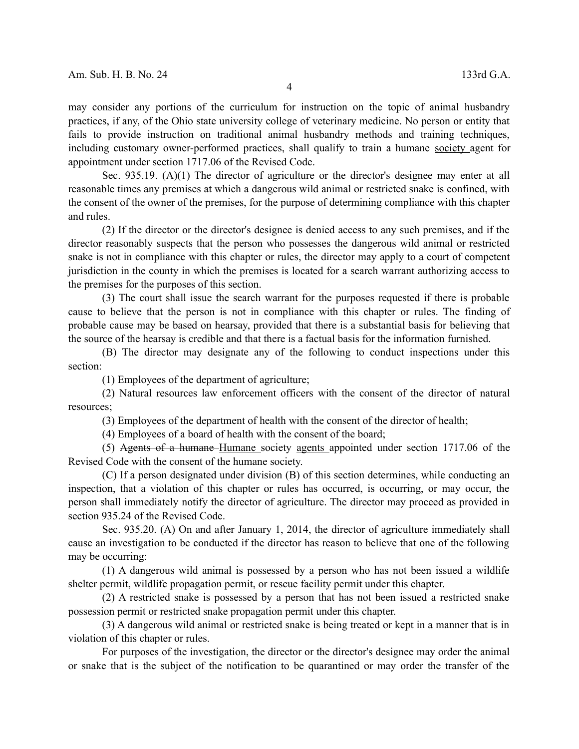may consider any portions of the curriculum for instruction on the topic of animal husbandry practices, if any, of the Ohio state university college of veterinary medicine. No person or entity that fails to provide instruction on traditional animal husbandry methods and training techniques, including customary owner-performed practices, shall qualify to train a humane society agent for appointment under section 1717.06 of the Revised Code.

Sec. 935.19. (A)(1) The director of agriculture or the director's designee may enter at all reasonable times any premises at which a dangerous wild animal or restricted snake is confined, with the consent of the owner of the premises, for the purpose of determining compliance with this chapter and rules.

(2) If the director or the director's designee is denied access to any such premises, and if the director reasonably suspects that the person who possesses the dangerous wild animal or restricted snake is not in compliance with this chapter or rules, the director may apply to a court of competent jurisdiction in the county in which the premises is located for a search warrant authorizing access to the premises for the purposes of this section.

(3) The court shall issue the search warrant for the purposes requested if there is probable cause to believe that the person is not in compliance with this chapter or rules. The finding of probable cause may be based on hearsay, provided that there is a substantial basis for believing that the source of the hearsay is credible and that there is a factual basis for the information furnished.

(B) The director may designate any of the following to conduct inspections under this section:

(1) Employees of the department of agriculture;

(2) Natural resources law enforcement officers with the consent of the director of natural resources;

(3) Employees of the department of health with the consent of the director of health;

(4) Employees of a board of health with the consent of the board;

(5) Agents of a humane Humane society agents appointed under section 1717.06 of the Revised Code with the consent of the humane society.

(C) If a person designated under division (B) of this section determines, while conducting an inspection, that a violation of this chapter or rules has occurred, is occurring, or may occur, the person shall immediately notify the director of agriculture. The director may proceed as provided in section 935.24 of the Revised Code.

Sec. 935.20. (A) On and after January 1, 2014, the director of agriculture immediately shall cause an investigation to be conducted if the director has reason to believe that one of the following may be occurring:

(1) A dangerous wild animal is possessed by a person who has not been issued a wildlife shelter permit, wildlife propagation permit, or rescue facility permit under this chapter.

(2) A restricted snake is possessed by a person that has not been issued a restricted snake possession permit or restricted snake propagation permit under this chapter.

(3) A dangerous wild animal or restricted snake is being treated or kept in a manner that is in violation of this chapter or rules.

For purposes of the investigation, the director or the director's designee may order the animal or snake that is the subject of the notification to be quarantined or may order the transfer of the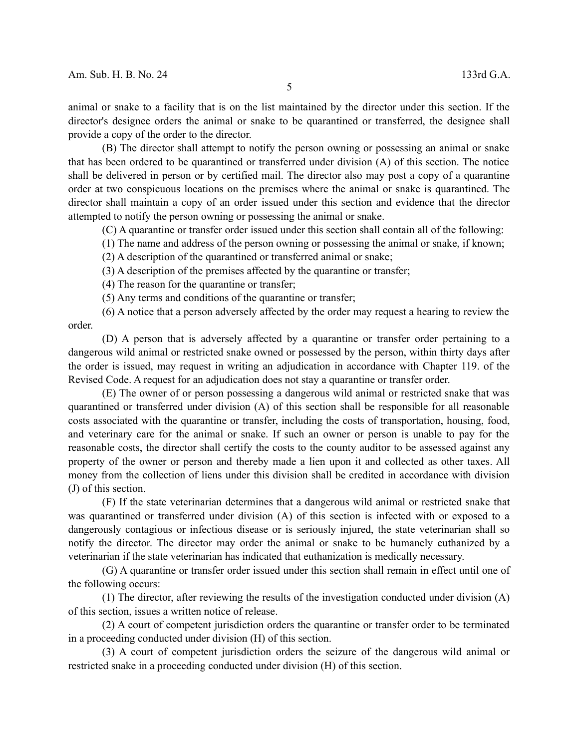animal or snake to a facility that is on the list maintained by the director under this section. If the director's designee orders the animal or snake to be quarantined or transferred, the designee shall provide a copy of the order to the director.

(B) The director shall attempt to notify the person owning or possessing an animal or snake that has been ordered to be quarantined or transferred under division (A) of this section. The notice shall be delivered in person or by certified mail. The director also may post a copy of a quarantine order at two conspicuous locations on the premises where the animal or snake is quarantined. The director shall maintain a copy of an order issued under this section and evidence that the director attempted to notify the person owning or possessing the animal or snake.

(C) A quarantine or transfer order issued under this section shall contain all of the following:

(1) The name and address of the person owning or possessing the animal or snake, if known;

(2) A description of the quarantined or transferred animal or snake;

(3) A description of the premises affected by the quarantine or transfer;

(4) The reason for the quarantine or transfer;

(5) Any terms and conditions of the quarantine or transfer;

(6) A notice that a person adversely affected by the order may request a hearing to review the order.

(D) A person that is adversely affected by a quarantine or transfer order pertaining to a dangerous wild animal or restricted snake owned or possessed by the person, within thirty days after the order is issued, may request in writing an adjudication in accordance with Chapter 119. of the Revised Code. A request for an adjudication does not stay a quarantine or transfer order.

(E) The owner of or person possessing a dangerous wild animal or restricted snake that was quarantined or transferred under division (A) of this section shall be responsible for all reasonable costs associated with the quarantine or transfer, including the costs of transportation, housing, food, and veterinary care for the animal or snake. If such an owner or person is unable to pay for the reasonable costs, the director shall certify the costs to the county auditor to be assessed against any property of the owner or person and thereby made a lien upon it and collected as other taxes. All money from the collection of liens under this division shall be credited in accordance with division (J) of this section.

(F) If the state veterinarian determines that a dangerous wild animal or restricted snake that was quarantined or transferred under division (A) of this section is infected with or exposed to a dangerously contagious or infectious disease or is seriously injured, the state veterinarian shall so notify the director. The director may order the animal or snake to be humanely euthanized by a veterinarian if the state veterinarian has indicated that euthanization is medically necessary.

(G) A quarantine or transfer order issued under this section shall remain in effect until one of the following occurs:

(1) The director, after reviewing the results of the investigation conducted under division (A) of this section, issues a written notice of release.

(2) A court of competent jurisdiction orders the quarantine or transfer order to be terminated in a proceeding conducted under division (H) of this section.

(3) A court of competent jurisdiction orders the seizure of the dangerous wild animal or restricted snake in a proceeding conducted under division (H) of this section.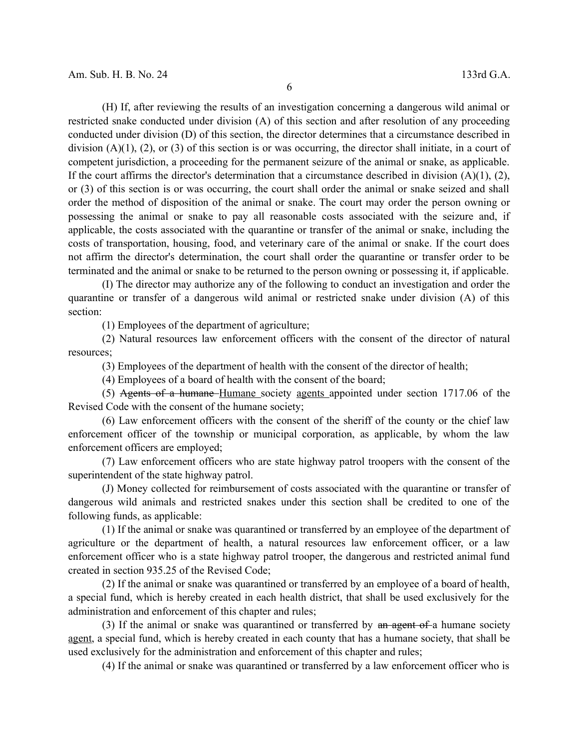(H) If, after reviewing the results of an investigation concerning a dangerous wild animal or restricted snake conducted under division (A) of this section and after resolution of any proceeding conducted under division (D) of this section, the director determines that a circumstance described in division  $(A)(1)$ ,  $(2)$ , or  $(3)$  of this section is or was occurring, the director shall initiate, in a court of competent jurisdiction, a proceeding for the permanent seizure of the animal or snake, as applicable. If the court affirms the director's determination that a circumstance described in division  $(A)(1)$ ,  $(2)$ , or (3) of this section is or was occurring, the court shall order the animal or snake seized and shall order the method of disposition of the animal or snake. The court may order the person owning or possessing the animal or snake to pay all reasonable costs associated with the seizure and, if applicable, the costs associated with the quarantine or transfer of the animal or snake, including the costs of transportation, housing, food, and veterinary care of the animal or snake. If the court does not affirm the director's determination, the court shall order the quarantine or transfer order to be terminated and the animal or snake to be returned to the person owning or possessing it, if applicable.

(I) The director may authorize any of the following to conduct an investigation and order the quarantine or transfer of a dangerous wild animal or restricted snake under division (A) of this section:

(1) Employees of the department of agriculture;

(2) Natural resources law enforcement officers with the consent of the director of natural resources;

(3) Employees of the department of health with the consent of the director of health;

(4) Employees of a board of health with the consent of the board;

(5) Agents of a humane Humane society agents appointed under section 1717.06 of the Revised Code with the consent of the humane society;

(6) Law enforcement officers with the consent of the sheriff of the county or the chief law enforcement officer of the township or municipal corporation, as applicable, by whom the law enforcement officers are employed;

(7) Law enforcement officers who are state highway patrol troopers with the consent of the superintendent of the state highway patrol.

(J) Money collected for reimbursement of costs associated with the quarantine or transfer of dangerous wild animals and restricted snakes under this section shall be credited to one of the following funds, as applicable:

(1) If the animal or snake was quarantined or transferred by an employee of the department of agriculture or the department of health, a natural resources law enforcement officer, or a law enforcement officer who is a state highway patrol trooper, the dangerous and restricted animal fund created in section 935.25 of the Revised Code;

(2) If the animal or snake was quarantined or transferred by an employee of a board of health, a special fund, which is hereby created in each health district, that shall be used exclusively for the administration and enforcement of this chapter and rules;

(3) If the animal or snake was quarantined or transferred by  $an$  agent of a humane society agent, a special fund, which is hereby created in each county that has a humane society, that shall be used exclusively for the administration and enforcement of this chapter and rules;

(4) If the animal or snake was quarantined or transferred by a law enforcement officer who is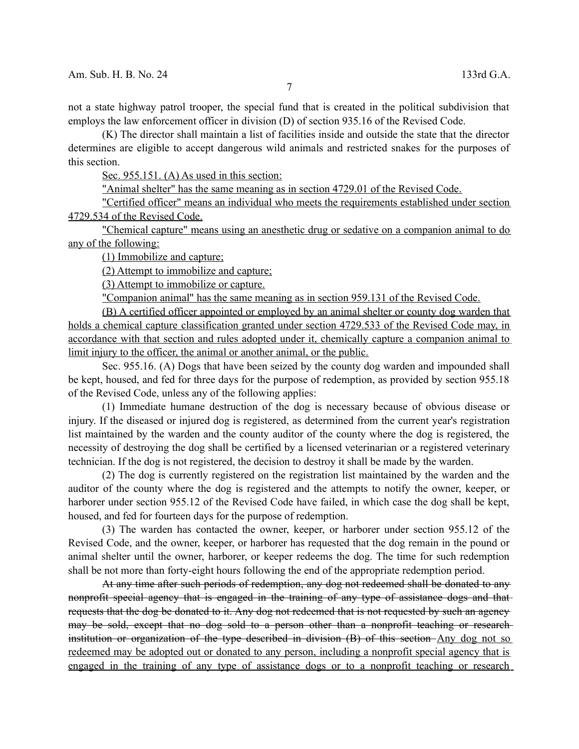not a state highway patrol trooper, the special fund that is created in the political subdivision that employs the law enforcement officer in division (D) of section 935.16 of the Revised Code.

(K) The director shall maintain a list of facilities inside and outside the state that the director determines are eligible to accept dangerous wild animals and restricted snakes for the purposes of this section.

Sec. 955.151. (A) As used in this section:

"Animal shelter" has the same meaning as in section 4729.01 of the Revised Code.

"Certified officer" means an individual who meets the requirements established under section 4729.534 of the Revised Code.

"Chemical capture" means using an anesthetic drug or sedative on a companion animal to do any of the following:

(1) Immobilize and capture;

(2) Attempt to immobilize and capture;

(3) Attempt to immobilize or capture.

"Companion animal" has the same meaning as in section 959.131 of the Revised Code.

(B) A certified officer appointed or employed by an animal shelter or county dog warden that holds a chemical capture classification granted under section 4729.533 of the Revised Code may, in accordance with that section and rules adopted under it, chemically capture a companion animal to limit injury to the officer, the animal or another animal, or the public.

Sec. 955.16. (A) Dogs that have been seized by the county dog warden and impounded shall be kept, housed, and fed for three days for the purpose of redemption, as provided by section 955.18 of the Revised Code, unless any of the following applies:

(1) Immediate humane destruction of the dog is necessary because of obvious disease or injury. If the diseased or injured dog is registered, as determined from the current year's registration list maintained by the warden and the county auditor of the county where the dog is registered, the necessity of destroying the dog shall be certified by a licensed veterinarian or a registered veterinary technician. If the dog is not registered, the decision to destroy it shall be made by the warden.

(2) The dog is currently registered on the registration list maintained by the warden and the auditor of the county where the dog is registered and the attempts to notify the owner, keeper, or harborer under section 955.12 of the Revised Code have failed, in which case the dog shall be kept, housed, and fed for fourteen days for the purpose of redemption.

(3) The warden has contacted the owner, keeper, or harborer under section 955.12 of the Revised Code, and the owner, keeper, or harborer has requested that the dog remain in the pound or animal shelter until the owner, harborer, or keeper redeems the dog. The time for such redemption shall be not more than forty-eight hours following the end of the appropriate redemption period.

At any time after such periods of redemption, any dog not redeemed shall be donated to any nonprofit special agency that is engaged in the training of any type of assistance dogs and that requests that the dog be donated to it. Any dog not redeemed that is not requested by such an agency may be sold, except that no dog sold to a person other than a nonprofit teaching or research institution or organization of the type described in division (B) of this section-Any dog not so redeemed may be adopted out or donated to any person, including a nonprofit special agency that is engaged in the training of any type of assistance dogs or to a nonprofit teaching or research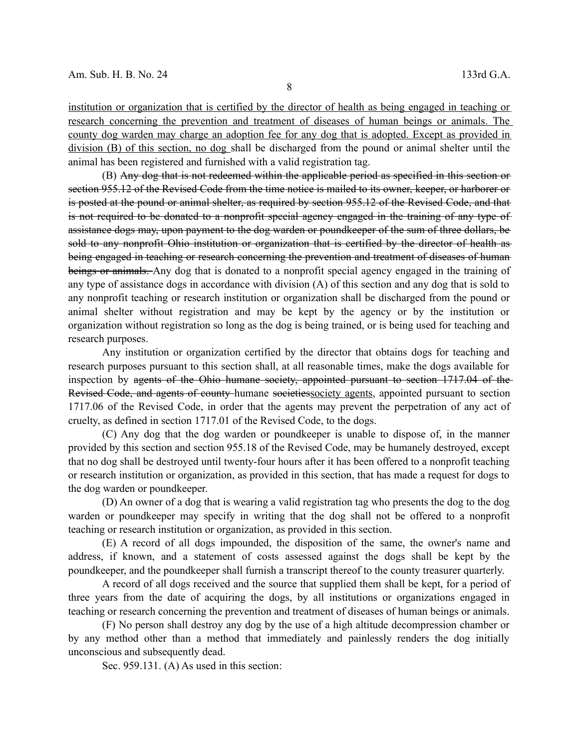institution or organization that is certified by the director of health as being engaged in teaching or research concerning the prevention and treatment of diseases of human beings or animals. The county dog warden may charge an adoption fee for any dog that is adopted. Except as provided in division (B) of this section, no dog shall be discharged from the pound or animal shelter until the animal has been registered and furnished with a valid registration tag.

(B) Any dog that is not redeemed within the applicable period as specified in this section or section 955.12 of the Revised Code from the time notice is mailed to its owner, keeper, or harborer or is posted at the pound or animal shelter, as required by section 955.12 of the Revised Code, and that is not required to be donated to a nonprofit special agency engaged in the training of any type of assistance dogs may, upon payment to the dog warden or poundkeeper of the sum of three dollars, be sold to any nonprofit Ohio institution or organization that is certified by the director of health as being engaged in teaching or research concerning the prevention and treatment of diseases of human beings or animals. Any dog that is donated to a nonprofit special agency engaged in the training of any type of assistance dogs in accordance with division (A) of this section and any dog that is sold to any nonprofit teaching or research institution or organization shall be discharged from the pound or animal shelter without registration and may be kept by the agency or by the institution or organization without registration so long as the dog is being trained, or is being used for teaching and research purposes.

Any institution or organization certified by the director that obtains dogs for teaching and research purposes pursuant to this section shall, at all reasonable times, make the dogs available for inspection by agents of the Ohio humane society, appointed pursuant to section 1717.04 of the Revised Code, and agents of county-humane societies society agents, appointed pursuant to section 1717.06 of the Revised Code, in order that the agents may prevent the perpetration of any act of cruelty, as defined in section 1717.01 of the Revised Code, to the dogs.

(C) Any dog that the dog warden or poundkeeper is unable to dispose of, in the manner provided by this section and section 955.18 of the Revised Code, may be humanely destroyed, except that no dog shall be destroyed until twenty-four hours after it has been offered to a nonprofit teaching or research institution or organization, as provided in this section, that has made a request for dogs to the dog warden or poundkeeper.

(D) An owner of a dog that is wearing a valid registration tag who presents the dog to the dog warden or poundkeeper may specify in writing that the dog shall not be offered to a nonprofit teaching or research institution or organization, as provided in this section.

(E) A record of all dogs impounded, the disposition of the same, the owner's name and address, if known, and a statement of costs assessed against the dogs shall be kept by the poundkeeper, and the poundkeeper shall furnish a transcript thereof to the county treasurer quarterly.

A record of all dogs received and the source that supplied them shall be kept, for a period of three years from the date of acquiring the dogs, by all institutions or organizations engaged in teaching or research concerning the prevention and treatment of diseases of human beings or animals.

(F) No person shall destroy any dog by the use of a high altitude decompression chamber or by any method other than a method that immediately and painlessly renders the dog initially unconscious and subsequently dead.

Sec. 959.131. (A) As used in this section: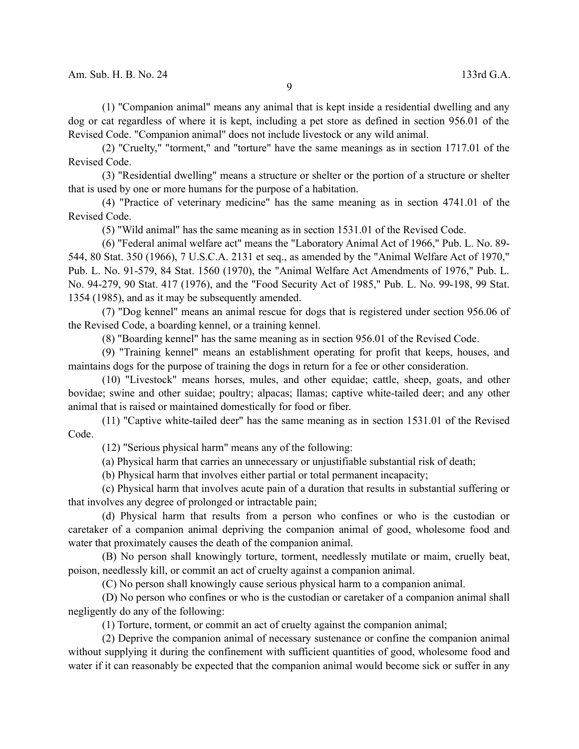(1) "Companion animal" means any animal that is kept inside a residential dwelling and any dog or cat regardless of where it is kept, including a pet store as defined in section 956.01 of the Revised Code. "Companion animal" does not include livestock or any wild animal.

(2) "Cruelty," "torment," and "torture" have the same meanings as in section 1717.01 of the Revised Code.

(3) "Residential dwelling" means a structure or shelter or the portion of a structure or shelter that is used by one or more humans for the purpose of a habitation.

(4) "Practice of veterinary medicine" has the same meaning as in section 4741.01 of the Revised Code.

(5) "Wild animal" has the same meaning as in section 1531.01 of the Revised Code.

(6) "Federal animal welfare act" means the "Laboratory Animal Act of 1966," Pub. L. No. 89- 544, 80 Stat. 350 (1966), 7 U.S.C.A. 2131 et seq., as amended by the "Animal Welfare Act of 1970," Pub. L. No. 91-579, 84 Stat. 1560 (1970), the "Animal Welfare Act Amendments of 1976," Pub. L. No. 94-279, 90 Stat. 417 (1976), and the "Food Security Act of 1985," Pub. L. No. 99-198, 99 Stat. 1354 (1985), and as it may be subsequently amended.

(7) "Dog kennel" means an animal rescue for dogs that is registered under section 956.06 of the Revised Code, a boarding kennel, or a training kennel.

(8) "Boarding kennel" has the same meaning as in section 956.01 of the Revised Code.

(9) "Training kennel" means an establishment operating for profit that keeps, houses, and maintains dogs for the purpose of training the dogs in return for a fee or other consideration.

(10) "Livestock" means horses, mules, and other equidae; cattle, sheep, goats, and other bovidae; swine and other suidae; poultry; alpacas; llamas; captive white-tailed deer; and any other animal that is raised or maintained domestically for food or fiber.

(11) "Captive white-tailed deer" has the same meaning as in section 1531.01 of the Revised Code.

(12) "Serious physical harm" means any of the following:

(a) Physical harm that carries an unnecessary or unjustifiable substantial risk of death;

(b) Physical harm that involves either partial or total permanent incapacity;

(c) Physical harm that involves acute pain of a duration that results in substantial suffering or that involves any degree of prolonged or intractable pain;

(d) Physical harm that results from a person who confines or who is the custodian or caretaker of a companion animal depriving the companion animal of good, wholesome food and water that proximately causes the death of the companion animal.

(B) No person shall knowingly torture, torment, needlessly mutilate or maim, cruelly beat, poison, needlessly kill, or commit an act of cruelty against a companion animal.

(C) No person shall knowingly cause serious physical harm to a companion animal.

(D) No person who confines or who is the custodian or caretaker of a companion animal shall negligently do any of the following:

(1) Torture, torment, or commit an act of cruelty against the companion animal;

(2) Deprive the companion animal of necessary sustenance or confine the companion animal without supplying it during the confinement with sufficient quantities of good, wholesome food and water if it can reasonably be expected that the companion animal would become sick or suffer in any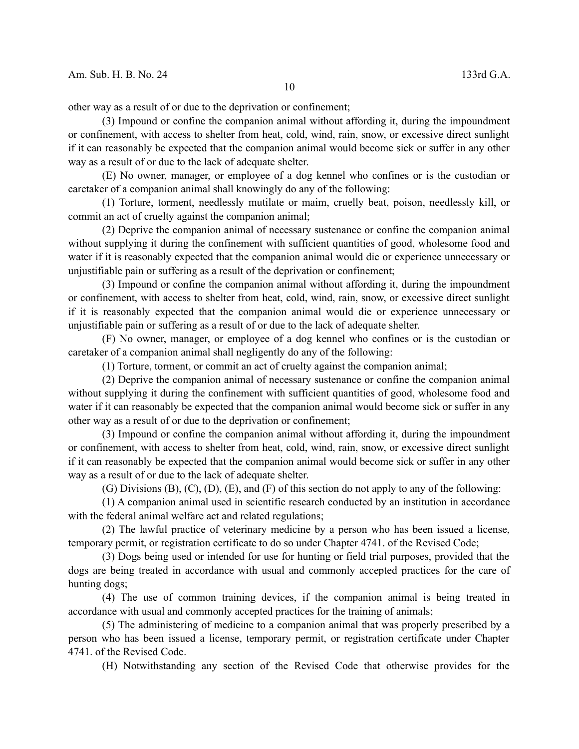other way as a result of or due to the deprivation or confinement;

(3) Impound or confine the companion animal without affording it, during the impoundment or confinement, with access to shelter from heat, cold, wind, rain, snow, or excessive direct sunlight if it can reasonably be expected that the companion animal would become sick or suffer in any other way as a result of or due to the lack of adequate shelter.

(E) No owner, manager, or employee of a dog kennel who confines or is the custodian or caretaker of a companion animal shall knowingly do any of the following:

(1) Torture, torment, needlessly mutilate or maim, cruelly beat, poison, needlessly kill, or commit an act of cruelty against the companion animal;

(2) Deprive the companion animal of necessary sustenance or confine the companion animal without supplying it during the confinement with sufficient quantities of good, wholesome food and water if it is reasonably expected that the companion animal would die or experience unnecessary or unjustifiable pain or suffering as a result of the deprivation or confinement;

(3) Impound or confine the companion animal without affording it, during the impoundment or confinement, with access to shelter from heat, cold, wind, rain, snow, or excessive direct sunlight if it is reasonably expected that the companion animal would die or experience unnecessary or unjustifiable pain or suffering as a result of or due to the lack of adequate shelter.

(F) No owner, manager, or employee of a dog kennel who confines or is the custodian or caretaker of a companion animal shall negligently do any of the following:

(1) Torture, torment, or commit an act of cruelty against the companion animal;

(2) Deprive the companion animal of necessary sustenance or confine the companion animal without supplying it during the confinement with sufficient quantities of good, wholesome food and water if it can reasonably be expected that the companion animal would become sick or suffer in any other way as a result of or due to the deprivation or confinement;

(3) Impound or confine the companion animal without affording it, during the impoundment or confinement, with access to shelter from heat, cold, wind, rain, snow, or excessive direct sunlight if it can reasonably be expected that the companion animal would become sick or suffer in any other way as a result of or due to the lack of adequate shelter.

(G) Divisions (B), (C), (D), (E), and (F) of this section do not apply to any of the following:

(1) A companion animal used in scientific research conducted by an institution in accordance with the federal animal welfare act and related regulations;

(2) The lawful practice of veterinary medicine by a person who has been issued a license, temporary permit, or registration certificate to do so under Chapter 4741. of the Revised Code;

(3) Dogs being used or intended for use for hunting or field trial purposes, provided that the dogs are being treated in accordance with usual and commonly accepted practices for the care of hunting dogs;

(4) The use of common training devices, if the companion animal is being treated in accordance with usual and commonly accepted practices for the training of animals;

(5) The administering of medicine to a companion animal that was properly prescribed by a person who has been issued a license, temporary permit, or registration certificate under Chapter 4741. of the Revised Code.

(H) Notwithstanding any section of the Revised Code that otherwise provides for the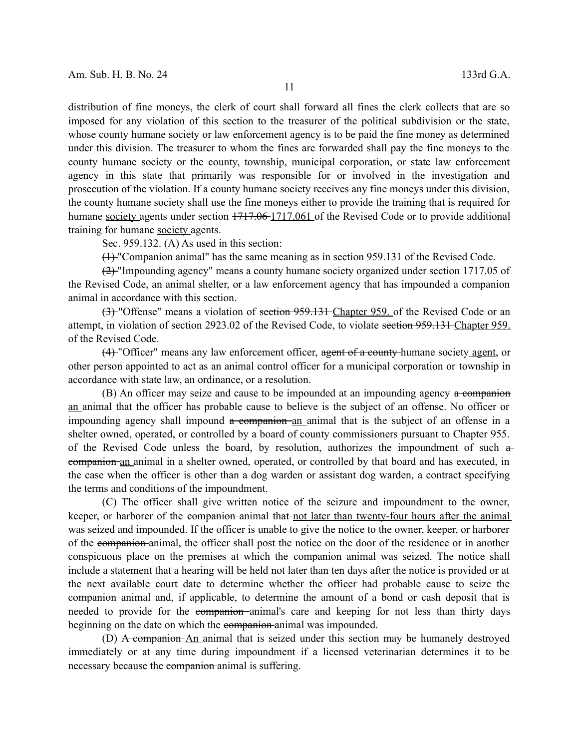distribution of fine moneys, the clerk of court shall forward all fines the clerk collects that are so imposed for any violation of this section to the treasurer of the political subdivision or the state, whose county humane society or law enforcement agency is to be paid the fine money as determined under this division. The treasurer to whom the fines are forwarded shall pay the fine moneys to the county humane society or the county, township, municipal corporation, or state law enforcement agency in this state that primarily was responsible for or involved in the investigation and prosecution of the violation. If a county humane society receives any fine moneys under this division, the county humane society shall use the fine moneys either to provide the training that is required for humane society agents under section 1717.06-1717.061 of the Revised Code or to provide additional training for humane society agents.

Sec. 959.132. (A) As used in this section:

 $(1)$  "Companion animal" has the same meaning as in section 959.131 of the Revised Code.

(2) "Impounding agency" means a county humane society organized under section 1717.05 of the Revised Code, an animal shelter, or a law enforcement agency that has impounded a companion animal in accordance with this section.

(3) "Offense" means a violation of section 959.131 Chapter 959. of the Revised Code or an attempt, in violation of section 2923.02 of the Revised Code, to violate section 959.131 Chapter 959. of the Revised Code.

(4) "Officer" means any law enforcement officer, agent of a county humane society agent, or other person appointed to act as an animal control officer for a municipal corporation or township in accordance with state law, an ordinance, or a resolution.

(B) An officer may seize and cause to be impounded at an impounding agency a companion an animal that the officer has probable cause to believe is the subject of an offense. No officer or impounding agency shall impound a companion an animal that is the subject of an offense in a shelter owned, operated, or controlled by a board of county commissioners pursuant to Chapter 955. of the Revised Code unless the board, by resolution, authorizes the impoundment of such  $a$ companion an animal in a shelter owned, operated, or controlled by that board and has executed, in the case when the officer is other than a dog warden or assistant dog warden, a contract specifying the terms and conditions of the impoundment.

(C) The officer shall give written notice of the seizure and impoundment to the owner, keeper, or harborer of the companion-animal that not later than twenty-four hours after the animal was seized and impounded. If the officer is unable to give the notice to the owner, keeper, or harborer of the companion animal, the officer shall post the notice on the door of the residence or in another conspicuous place on the premises at which the companion animal was seized. The notice shall include a statement that a hearing will be held not later than ten days after the notice is provided or at the next available court date to determine whether the officer had probable cause to seize the companion animal and, if applicable, to determine the amount of a bond or cash deposit that is needed to provide for the companion-animal's care and keeping for not less than thirty days beginning on the date on which the companion animal was impounded.

(D) A companion An animal that is seized under this section may be humanely destroyed immediately or at any time during impoundment if a licensed veterinarian determines it to be necessary because the companion animal is suffering.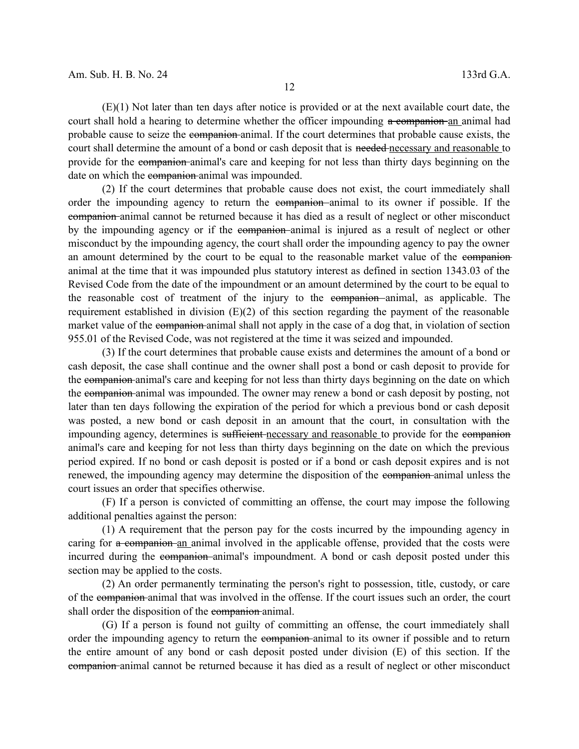(E)(1) Not later than ten days after notice is provided or at the next available court date, the court shall hold a hearing to determine whether the officer impounding a companion an animal had probable cause to seize the companion animal. If the court determines that probable cause exists, the court shall determine the amount of a bond or cash deposit that is needed necessary and reasonable to provide for the companion animal's care and keeping for not less than thirty days beginning on the date on which the companion animal was impounded.

(2) If the court determines that probable cause does not exist, the court immediately shall order the impounding agency to return the companion animal to its owner if possible. If the companion animal cannot be returned because it has died as a result of neglect or other misconduct by the impounding agency or if the companion animal is injured as a result of neglect or other misconduct by the impounding agency, the court shall order the impounding agency to pay the owner an amount determined by the court to be equal to the reasonable market value of the companion animal at the time that it was impounded plus statutory interest as defined in section 1343.03 of the Revised Code from the date of the impoundment or an amount determined by the court to be equal to the reasonable cost of treatment of the injury to the companion animal, as applicable. The requirement established in division (E)(2) of this section regarding the payment of the reasonable market value of the companion animal shall not apply in the case of a dog that, in violation of section 955.01 of the Revised Code, was not registered at the time it was seized and impounded.

(3) If the court determines that probable cause exists and determines the amount of a bond or cash deposit, the case shall continue and the owner shall post a bond or cash deposit to provide for the companion animal's care and keeping for not less than thirty days beginning on the date on which the companion animal was impounded. The owner may renew a bond or cash deposit by posting, not later than ten days following the expiration of the period for which a previous bond or cash deposit was posted, a new bond or cash deposit in an amount that the court, in consultation with the impounding agency, determines is sufficient necessary and reasonable to provide for the companion animal's care and keeping for not less than thirty days beginning on the date on which the previous period expired. If no bond or cash deposit is posted or if a bond or cash deposit expires and is not renewed, the impounding agency may determine the disposition of the companion animal unless the court issues an order that specifies otherwise.

(F) If a person is convicted of committing an offense, the court may impose the following additional penalties against the person:

(1) A requirement that the person pay for the costs incurred by the impounding agency in caring for a companion an animal involved in the applicable offense, provided that the costs were incurred during the companion animal's impoundment. A bond or cash deposit posted under this section may be applied to the costs.

(2) An order permanently terminating the person's right to possession, title, custody, or care of the companion animal that was involved in the offense. If the court issues such an order, the court shall order the disposition of the companion animal.

(G) If a person is found not guilty of committing an offense, the court immediately shall order the impounding agency to return the companion animal to its owner if possible and to return the entire amount of any bond or cash deposit posted under division (E) of this section. If the companion animal cannot be returned because it has died as a result of neglect or other misconduct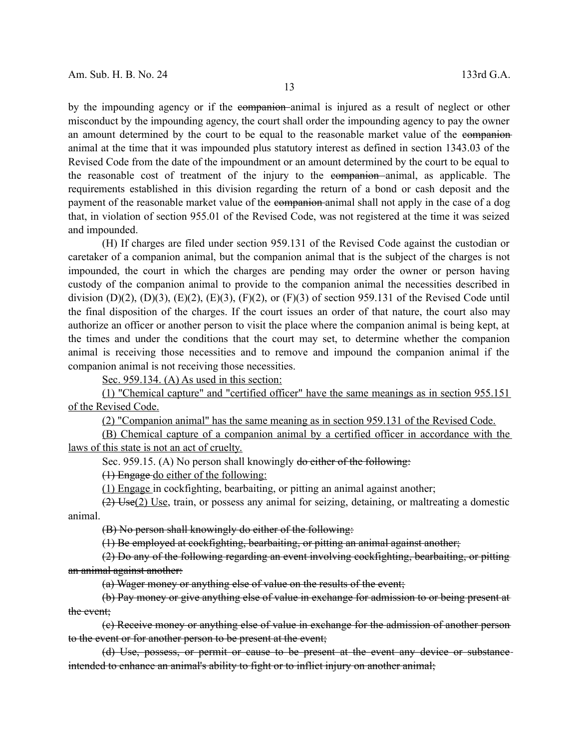by the impounding agency or if the companion animal is injured as a result of neglect or other misconduct by the impounding agency, the court shall order the impounding agency to pay the owner an amount determined by the court to be equal to the reasonable market value of the companion animal at the time that it was impounded plus statutory interest as defined in section 1343.03 of the Revised Code from the date of the impoundment or an amount determined by the court to be equal to the reasonable cost of treatment of the injury to the companion animal, as applicable. The requirements established in this division regarding the return of a bond or cash deposit and the payment of the reasonable market value of the companion animal shall not apply in the case of a dog that, in violation of section 955.01 of the Revised Code, was not registered at the time it was seized and impounded.

(H) If charges are filed under section 959.131 of the Revised Code against the custodian or caretaker of a companion animal, but the companion animal that is the subject of the charges is not impounded, the court in which the charges are pending may order the owner or person having custody of the companion animal to provide to the companion animal the necessities described in division (D)(2), (D)(3), (E)(2), (E)(3), (F)(2), or (F)(3) of section 959.131 of the Revised Code until the final disposition of the charges. If the court issues an order of that nature, the court also may authorize an officer or another person to visit the place where the companion animal is being kept, at the times and under the conditions that the court may set, to determine whether the companion animal is receiving those necessities and to remove and impound the companion animal if the companion animal is not receiving those necessities.

Sec. 959.134. (A) As used in this section:

(1) "Chemical capture" and "certified officer" have the same meanings as in section 955.151 of the Revised Code.

(2) "Companion animal" has the same meaning as in section 959.131 of the Revised Code.

(B) Chemical capture of a companion animal by a certified officer in accordance with the laws of this state is not an act of cruelty.

Sec. 959.15. (A) No person shall knowingly do either of the following:

(1) Engage do either of the following:

(1) Engage in cockfighting, bearbaiting, or pitting an animal against another;

(2) Use(2) Use, train, or possess any animal for seizing, detaining, or maltreating a domestic animal.

(B) No person shall knowingly do either of the following:

(1) Be employed at cockfighting, bearbaiting, or pitting an animal against another;

(2) Do any of the following regarding an event involving cockfighting, bearbaiting, or pitting an animal against another:

(a) Wager money or anything else of value on the results of the event;

(b) Pay money or give anything else of value in exchange for admission to or being present at the event;

(c) Receive money or anything else of value in exchange for the admission of another person to the event or for another person to be present at the event;

(d) Use, possess, or permit or cause to be present at the event any device or substance intended to enhance an animal's ability to fight or to inflict injury on another animal;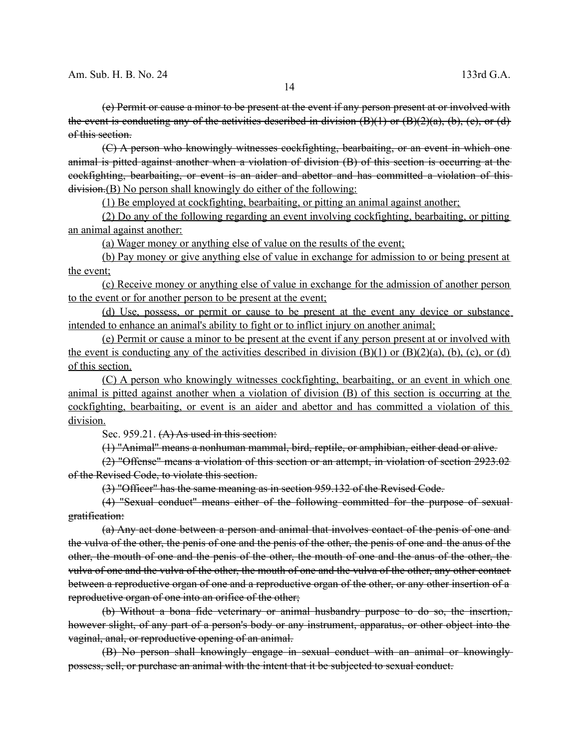(e) Permit or cause a minor to be present at the event if any person present at or involved with the event is conducting any of the activities described in division  $(B)(1)$  or  $(B)(2)(a)$ , (b), (c), or (d) of this section.

(C) A person who knowingly witnesses cockfighting, bearbaiting, or an event in which one animal is pitted against another when a violation of division (B) of this section is occurring at the cockfighting, bearbaiting, or event is an aider and abettor and has committed a violation of this division.(B) No person shall knowingly do either of the following:

(1) Be employed at cockfighting, bearbaiting, or pitting an animal against another;

(2) Do any of the following regarding an event involving cockfighting, bearbaiting, or pitting an animal against another:

(a) Wager money or anything else of value on the results of the event;

(b) Pay money or give anything else of value in exchange for admission to or being present at the event;

(c) Receive money or anything else of value in exchange for the admission of another person to the event or for another person to be present at the event;

(d) Use, possess, or permit or cause to be present at the event any device or substance intended to enhance an animal's ability to fight or to inflict injury on another animal;

(e) Permit or cause a minor to be present at the event if any person present at or involved with the event is conducting any of the activities described in division  $(B)(1)$  or  $(B)(2)(a)$ , (b), (c), or (d) of this section.

(C) A person who knowingly witnesses cockfighting, bearbaiting, or an event in which one animal is pitted against another when a violation of division (B) of this section is occurring at the cockfighting, bearbaiting, or event is an aider and abettor and has committed a violation of this division.

Sec. 959.21. (A) As used in this section:

(1) "Animal" means a nonhuman mammal, bird, reptile, or amphibian, either dead or alive.

(2) "Offense" means a violation of this section or an attempt, in violation of section 2923.02 of the Revised Code, to violate this section.

(3) "Officer" has the same meaning as in section 959.132 of the Revised Code.

(4) "Sexual conduct" means either of the following committed for the purpose of sexual gratification:

(a) Any act done between a person and animal that involves contact of the penis of one and the vulva of the other, the penis of one and the penis of the other, the penis of one and the anus of the other, the mouth of one and the penis of the other, the mouth of one and the anus of the other, the vulva of one and the vulva of the other, the mouth of one and the vulva of the other, any other contact between a reproductive organ of one and a reproductive organ of the other, or any other insertion of a reproductive organ of one into an orifice of the other;

(b) Without a bona fide veterinary or animal husbandry purpose to do so, the insertion, however slight, of any part of a person's body or any instrument, apparatus, or other object into the vaginal, anal, or reproductive opening of an animal.

(B) No person shall knowingly engage in sexual conduct with an animal or knowingly possess, sell, or purchase an animal with the intent that it be subjected to sexual conduct.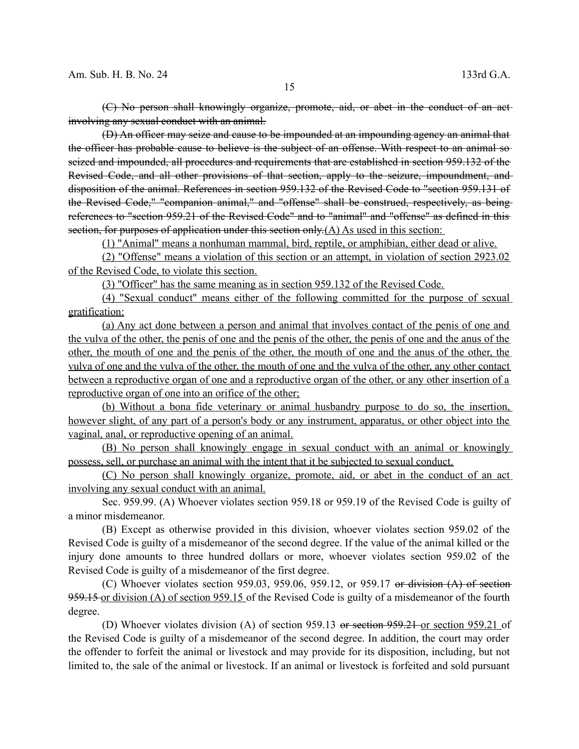(C) No person shall knowingly organize, promote, aid, or abet in the conduct of an act involving any sexual conduct with an animal.

(D) An officer may seize and cause to be impounded at an impounding agency an animal that the officer has probable cause to believe is the subject of an offense. With respect to an animal so seized and impounded, all procedures and requirements that are established in section 959.132 of the Revised Code, and all other provisions of that section, apply to the seizure, impoundment, and disposition of the animal. References in section 959.132 of the Revised Code to "section 959.131 of the Revised Code," "companion animal," and "offense" shall be construed, respectively, as being references to "section 959.21 of the Revised Code" and to "animal" and "offense" as defined in this section, for purposes of application under this section only. (A) As used in this section:

(1) "Animal" means a nonhuman mammal, bird, reptile, or amphibian, either dead or alive.

(2) "Offense" means a violation of this section or an attempt, in violation of section 2923.02 of the Revised Code, to violate this section.

(3) "Officer" has the same meaning as in section 959.132 of the Revised Code.

(4) "Sexual conduct" means either of the following committed for the purpose of sexual gratification:

(a) Any act done between a person and animal that involves contact of the penis of one and the vulva of the other, the penis of one and the penis of the other, the penis of one and the anus of the other, the mouth of one and the penis of the other, the mouth of one and the anus of the other, the vulva of one and the vulva of the other, the mouth of one and the vulva of the other, any other contact between a reproductive organ of one and a reproductive organ of the other, or any other insertion of a reproductive organ of one into an orifice of the other;

(b) Without a bona fide veterinary or animal husbandry purpose to do so, the insertion, however slight, of any part of a person's body or any instrument, apparatus, or other object into the vaginal, anal, or reproductive opening of an animal.

(B) No person shall knowingly engage in sexual conduct with an animal or knowingly possess, sell, or purchase an animal with the intent that it be subjected to sexual conduct.

(C) No person shall knowingly organize, promote, aid, or abet in the conduct of an act involving any sexual conduct with an animal.

Sec. 959.99. (A) Whoever violates section 959.18 or 959.19 of the Revised Code is guilty of a minor misdemeanor.

(B) Except as otherwise provided in this division, whoever violates section 959.02 of the Revised Code is guilty of a misdemeanor of the second degree. If the value of the animal killed or the injury done amounts to three hundred dollars or more, whoever violates section 959.02 of the Revised Code is guilty of a misdemeanor of the first degree.

(C) Whoever violates section 959.03, 959.06, 959.12, or 959.17 or division  $(A)$  of section 959.15 or division (A) of section 959.15 of the Revised Code is guilty of a misdemeanor of the fourth degree.

(D) Whoever violates division (A) of section 959.13 or section 959.21 or section 959.21 of the Revised Code is guilty of a misdemeanor of the second degree. In addition, the court may order the offender to forfeit the animal or livestock and may provide for its disposition, including, but not limited to, the sale of the animal or livestock. If an animal or livestock is forfeited and sold pursuant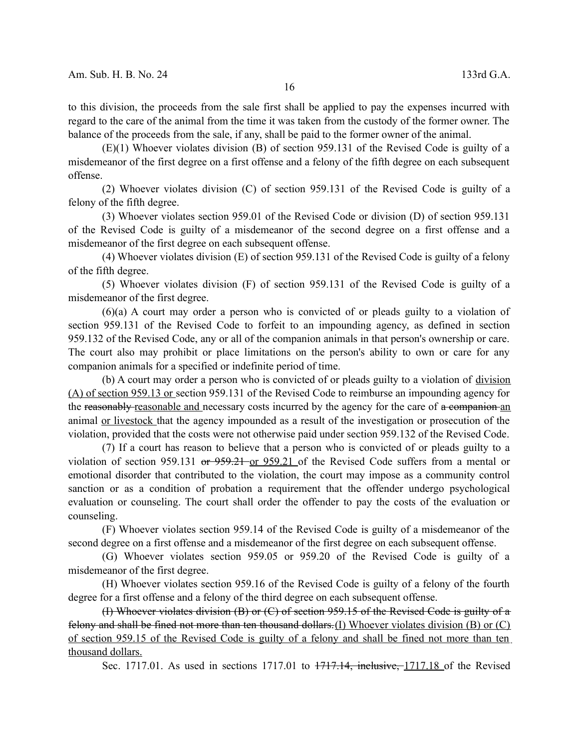to this division, the proceeds from the sale first shall be applied to pay the expenses incurred with regard to the care of the animal from the time it was taken from the custody of the former owner. The balance of the proceeds from the sale, if any, shall be paid to the former owner of the animal.

(E)(1) Whoever violates division (B) of section 959.131 of the Revised Code is guilty of a misdemeanor of the first degree on a first offense and a felony of the fifth degree on each subsequent offense.

(2) Whoever violates division (C) of section 959.131 of the Revised Code is guilty of a felony of the fifth degree.

(3) Whoever violates section 959.01 of the Revised Code or division (D) of section 959.131 of the Revised Code is guilty of a misdemeanor of the second degree on a first offense and a misdemeanor of the first degree on each subsequent offense.

(4) Whoever violates division (E) of section 959.131 of the Revised Code is guilty of a felony of the fifth degree.

(5) Whoever violates division (F) of section 959.131 of the Revised Code is guilty of a misdemeanor of the first degree.

(6)(a) A court may order a person who is convicted of or pleads guilty to a violation of section 959.131 of the Revised Code to forfeit to an impounding agency, as defined in section 959.132 of the Revised Code, any or all of the companion animals in that person's ownership or care. The court also may prohibit or place limitations on the person's ability to own or care for any companion animals for a specified or indefinite period of time.

(b) A court may order a person who is convicted of or pleads guilty to a violation of division (A) of section 959.13 or section 959.131 of the Revised Code to reimburse an impounding agency for the reasonably reasonable and necessary costs incurred by the agency for the care of a companion an animal or livestock that the agency impounded as a result of the investigation or prosecution of the violation, provided that the costs were not otherwise paid under section 959.132 of the Revised Code.

(7) If a court has reason to believe that a person who is convicted of or pleads guilty to a violation of section 959.131 or 959.21 or 959.21 of the Revised Code suffers from a mental or emotional disorder that contributed to the violation, the court may impose as a community control sanction or as a condition of probation a requirement that the offender undergo psychological evaluation or counseling. The court shall order the offender to pay the costs of the evaluation or counseling.

(F) Whoever violates section 959.14 of the Revised Code is guilty of a misdemeanor of the second degree on a first offense and a misdemeanor of the first degree on each subsequent offense.

(G) Whoever violates section 959.05 or 959.20 of the Revised Code is guilty of a misdemeanor of the first degree.

(H) Whoever violates section 959.16 of the Revised Code is guilty of a felony of the fourth degree for a first offense and a felony of the third degree on each subsequent offense.

(I) Whoever violates division (B) or (C) of section 959.15 of the Revised Code is guilty of a felony and shall be fined not more than ten thousand dollars.(I) Whoever violates division (B) or (C) of section 959.15 of the Revised Code is guilty of a felony and shall be fined not more than ten thousand dollars.

Sec. 1717.01. As used in sections 1717.01 to 1717.14, inclusive, 1717.18 of the Revised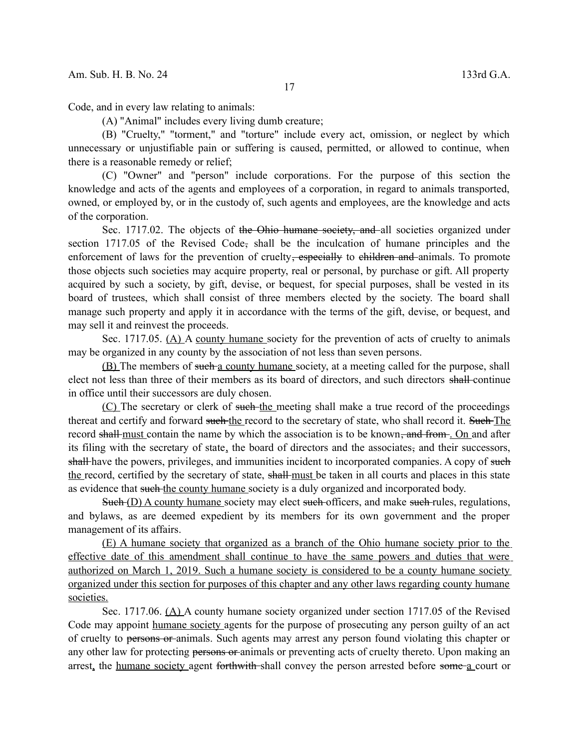Code, and in every law relating to animals:

(A) "Animal" includes every living dumb creature;

(B) "Cruelty," "torment," and "torture" include every act, omission, or neglect by which unnecessary or unjustifiable pain or suffering is caused, permitted, or allowed to continue, when there is a reasonable remedy or relief;

(C) "Owner" and "person" include corporations. For the purpose of this section the knowledge and acts of the agents and employees of a corporation, in regard to animals transported, owned, or employed by, or in the custody of, such agents and employees, are the knowledge and acts of the corporation.

Sec. 1717.02. The objects of the Ohio humane society, and all societies organized under section 1717.05 of the Revised Code, shall be the inculcation of humane principles and the enforcement of laws for the prevention of cruelty<del>, especially</del> to children and animals. To promote those objects such societies may acquire property, real or personal, by purchase or gift. All property acquired by such a society, by gift, devise, or bequest, for special purposes, shall be vested in its board of trustees, which shall consist of three members elected by the society. The board shall manage such property and apply it in accordance with the terms of the gift, devise, or bequest, and may sell it and reinvest the proceeds.

Sec. 1717.05. (A) A county humane society for the prevention of acts of cruelty to animals may be organized in any county by the association of not less than seven persons.

(B) The members of such a county humane society, at a meeting called for the purpose, shall elect not less than three of their members as its board of directors, and such directors shall continue in office until their successors are duly chosen.

(C) The secretary or clerk of such the meeting shall make a true record of the proceedings thereat and certify and forward such the record to the secretary of state, who shall record it. Such The record shall must contain the name by which the association is to be known, and from . On and after its filing with the secretary of state, the board of directors and the associates, and their successors, shall have the powers, privileges, and immunities incident to incorporated companies. A copy of such the record, certified by the secretary of state, shall must be taken in all courts and places in this state as evidence that such the county humane society is a duly organized and incorporated body.

 $Such (D)$  A county humane society may elect such officers, and make such rules, regulations, and bylaws, as are deemed expedient by its members for its own government and the proper management of its affairs.

(E) A humane society that organized as a branch of the Ohio humane society prior to the effective date of this amendment shall continue to have the same powers and duties that were authorized on March 1, 2019. Such a humane society is considered to be a county humane society organized under this section for purposes of this chapter and any other laws regarding county humane societies.

Sec. 1717.06. (A) A county humane society organized under section 1717.05 of the Revised Code may appoint humane society agents for the purpose of prosecuting any person guilty of an act of cruelty to persons or animals. Such agents may arrest any person found violating this chapter or any other law for protecting persons or animals or preventing acts of cruelty thereto. Upon making an arrest, the humane society agent forthwith shall convey the person arrested before some a court or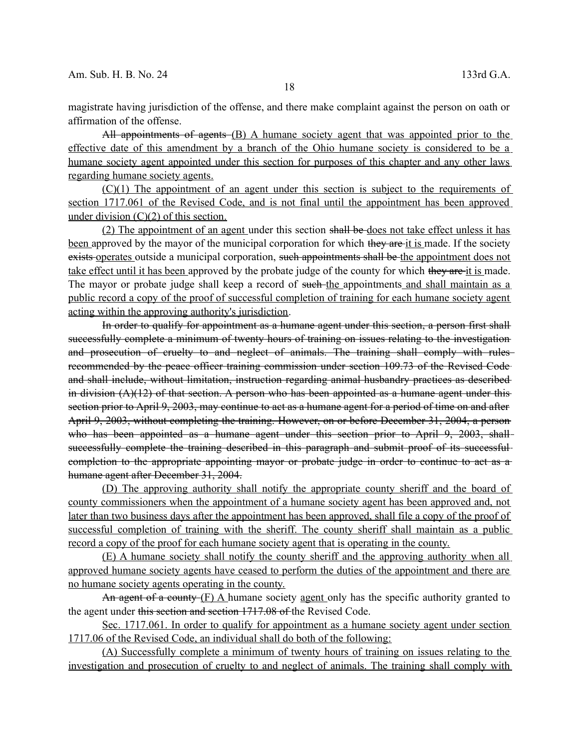magistrate having jurisdiction of the offense, and there make complaint against the person on oath or affirmation of the offense.

All appointments of agents (B) A humane society agent that was appointed prior to the effective date of this amendment by a branch of the Ohio humane society is considered to be a humane society agent appointed under this section for purposes of this chapter and any other laws regarding humane society agents.

(C)(1) The appointment of an agent under this section is subject to the requirements of section 1717.061 of the Revised Code, and is not final until the appointment has been approved under division  $(C)(2)$  of this section.

(2) The appointment of an agent under this section shall be does not take effect unless it has been approved by the mayor of the municipal corporation for which they are it is made. If the society exists operates outside a municipal corporation, such appointments shall be the appointment does not take effect until it has been approved by the probate judge of the county for which they are it is made. The mayor or probate judge shall keep a record of such the appointments and shall maintain as a public record a copy of the proof of successful completion of training for each humane society agent acting within the approving authority's jurisdiction.

In order to qualify for appointment as a humane agent under this section, a person first shall successfully complete a minimum of twenty hours of training on issues relating to the investigation and prosecution of cruelty to and neglect of animals. The training shall comply with rules recommended by the peace officer training commission under section 109.73 of the Revised Code and shall include, without limitation, instruction regarding animal husbandry practices as described in division  $(A)(12)$  of that section. A person who has been appointed as a humane agent under this section prior to April 9, 2003, may continue to act as a humane agent for a period of time on and after April 9, 2003, without completing the training. However, on or before December 31, 2004, a person who has been appointed as a humane agent under this section prior to April 9, 2003, shallsuccessfully complete the training described in this paragraph and submit proof of its successfulcompletion to the appropriate appointing mayor or probate judge in order to continue to act as a humane agent after December 31, 2004.

(D) The approving authority shall notify the appropriate county sheriff and the board of county commissioners when the appointment of a humane society agent has been approved and, not later than two business days after the appointment has been approved, shall file a copy of the proof of successful completion of training with the sheriff. The county sheriff shall maintain as a public record a copy of the proof for each humane society agent that is operating in the county.

(E) A humane society shall notify the county sheriff and the approving authority when all approved humane society agents have ceased to perform the duties of the appointment and there are no humane society agents operating in the county.

An agent of a county  $(F)$  A humane society agent only has the specific authority granted to the agent under this section and section 1717.08 of the Revised Code.

 Sec. 1717.061. In order to qualify for appointment as a humane society agent under section 1717.06 of the Revised Code, an individual shall do both of the following:

(A) Successfully complete a minimum of twenty hours of training on issues relating to the investigation and prosecution of cruelty to and neglect of animals. The training shall comply with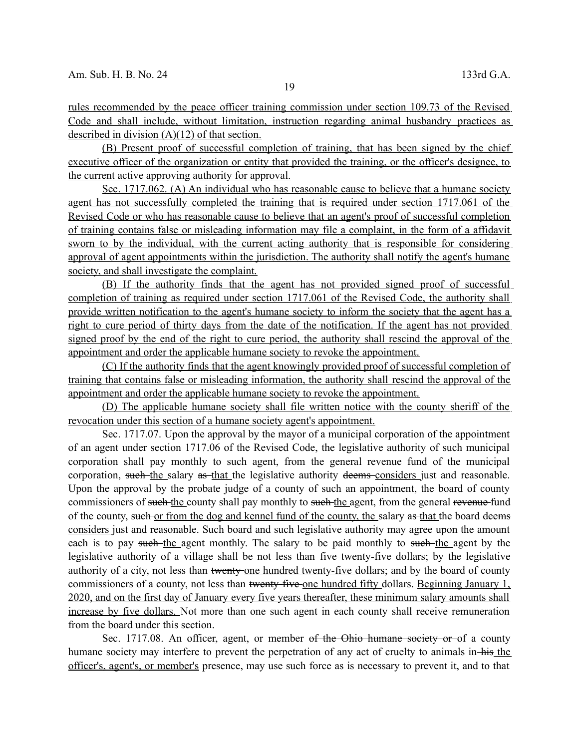rules recommended by the peace officer training commission under section 109.73 of the Revised Code and shall include, without limitation, instruction regarding animal husbandry practices as described in division (A)(12) of that section.

(B) Present proof of successful completion of training, that has been signed by the chief executive officer of the organization or entity that provided the training, or the officer's designee, to the current active approving authority for approval.

 Sec. 1717.062. (A) An individual who has reasonable cause to believe that a humane society agent has not successfully completed the training that is required under section 1717.061 of the Revised Code or who has reasonable cause to believe that an agent's proof of successful completion of training contains false or misleading information may file a complaint, in the form of a affidavit sworn to by the individual, with the current acting authority that is responsible for considering approval of agent appointments within the jurisdiction. The authority shall notify the agent's humane society, and shall investigate the complaint.

(B) If the authority finds that the agent has not provided signed proof of successful completion of training as required under section 1717.061 of the Revised Code, the authority shall provide written notification to the agent's humane society to inform the society that the agent has a right to cure period of thirty days from the date of the notification. If the agent has not provided signed proof by the end of the right to cure period, the authority shall rescind the approval of the appointment and order the applicable humane society to revoke the appointment.

(C) If the authority finds that the agent knowingly provided proof of successful completion of training that contains false or misleading information, the authority shall rescind the approval of the appointment and order the applicable humane society to revoke the appointment.

(D) The applicable humane society shall file written notice with the county sheriff of the revocation under this section of a humane society agent's appointment.

Sec. 1717.07. Upon the approval by the mayor of a municipal corporation of the appointment of an agent under section 1717.06 of the Revised Code, the legislative authority of such municipal corporation shall pay monthly to such agent, from the general revenue fund of the municipal corporation, such the salary as that the legislative authority deems considers just and reasonable. Upon the approval by the probate judge of a county of such an appointment, the board of county commissioners of such the county shall pay monthly to such the agent, from the general revenue fund of the county, such or from the dog and kennel fund of the county, the salary as that the board deems considers just and reasonable. Such board and such legislative authority may agree upon the amount each is to pay such the agent monthly. The salary to be paid monthly to such the agent by the legislative authority of a village shall be not less than five-twenty-five dollars; by the legislative authority of a city, not less than twenty-one hundred twenty-five dollars; and by the board of county commissioners of a county, not less than twenty-five one hundred fifty dollars. Beginning January 1, 2020, and on the first day of January every five years thereafter, these minimum salary amounts shall increase by five dollars. Not more than one such agent in each county shall receive remuneration from the board under this section.

Sec. 1717.08. An officer, agent, or member of the Ohio humane society or of a county humane society may interfere to prevent the perpetration of any act of cruelty to animals in his the officer's, agent's, or member's presence, may use such force as is necessary to prevent it, and to that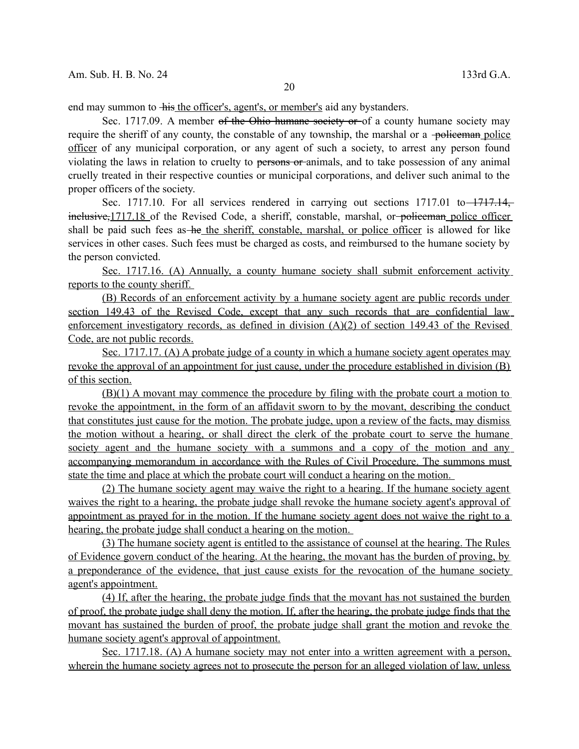end may summon to his the officer's, agent's, or member's aid any bystanders.

Sec. 1717.09. A member of the Ohio humane society or of a county humane society may require the sheriff of any county, the constable of any township, the marshal or a -policeman police officer of any municipal corporation, or any agent of such a society, to arrest any person found violating the laws in relation to cruelty to persons or animals, and to take possession of any animal cruelly treated in their respective counties or municipal corporations, and deliver such animal to the proper officers of the society.

Sec. 1717.10. For all services rendered in carrying out sections  $1717.01$  to  $-1717.14$ , inclusive, 1717.18 of the Revised Code, a sheriff, constable, marshal, or policeman police officer shall be paid such fees as he the sheriff, constable, marshal, or police officer is allowed for like services in other cases. Such fees must be charged as costs, and reimbursed to the humane society by the person convicted.

 Sec. 1717.16. (A) Annually, a county humane society shall submit enforcement activity reports to the county sheriff.

(B) Records of an enforcement activity by a humane society agent are public records under section 149.43 of the Revised Code, except that any such records that are confidential law enforcement investigatory records, as defined in division (A)(2) of section 149.43 of the Revised Code, are not public records.

Sec. 1717.17. (A) A probate judge of a county in which a humane society agent operates may revoke the approval of an appointment for just cause, under the procedure established in division (B) of this section.

(B)(1) A movant may commence the procedure by filing with the probate court a motion to revoke the appointment, in the form of an affidavit sworn to by the movant, describing the conduct that constitutes just cause for the motion. The probate judge, upon a review of the facts, may dismiss the motion without a hearing, or shall direct the clerk of the probate court to serve the humane society agent and the humane society with a summons and a copy of the motion and any accompanying memorandum in accordance with the Rules of Civil Procedure. The summons must state the time and place at which the probate court will conduct a hearing on the motion.

(2) The humane society agent may waive the right to a hearing. If the humane society agent waives the right to a hearing, the probate judge shall revoke the humane society agent's approval of appointment as prayed for in the motion. If the humane society agent does not waive the right to a hearing, the probate judge shall conduct a hearing on the motion.

(3) The humane society agent is entitled to the assistance of counsel at the hearing. The Rules of Evidence govern conduct of the hearing. At the hearing, the movant has the burden of proving, by a preponderance of the evidence, that just cause exists for the revocation of the humane society agent's appointment.

(4) If, after the hearing, the probate judge finds that the movant has not sustained the burden of proof, the probate judge shall deny the motion. If, after the hearing, the probate judge finds that the movant has sustained the burden of proof, the probate judge shall grant the motion and revoke the humane society agent's approval of appointment.

 Sec. 1717.18. (A) A humane society may not enter into a written agreement with a person, wherein the humane society agrees not to prosecute the person for an alleged violation of law, unless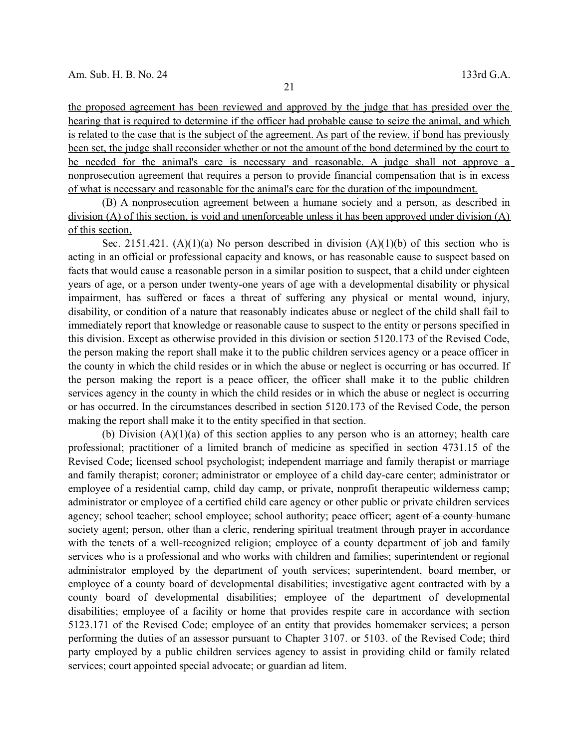the proposed agreement has been reviewed and approved by the judge that has presided over the hearing that is required to determine if the officer had probable cause to seize the animal, and which is related to the case that is the subject of the agreement. As part of the review, if bond has previously been set, the judge shall reconsider whether or not the amount of the bond determined by the court to be needed for the animal's care is necessary and reasonable. A judge shall not approve a nonprosecution agreement that requires a person to provide financial compensation that is in excess of what is necessary and reasonable for the animal's care for the duration of the impoundment.

(B) A nonprosecution agreement between a humane society and a person, as described in division (A) of this section, is void and unenforceable unless it has been approved under division (A) of this section.

Sec. 2151.421.  $(A)(1)(a)$  No person described in division  $(A)(1)(b)$  of this section who is acting in an official or professional capacity and knows, or has reasonable cause to suspect based on facts that would cause a reasonable person in a similar position to suspect, that a child under eighteen years of age, or a person under twenty-one years of age with a developmental disability or physical impairment, has suffered or faces a threat of suffering any physical or mental wound, injury, disability, or condition of a nature that reasonably indicates abuse or neglect of the child shall fail to immediately report that knowledge or reasonable cause to suspect to the entity or persons specified in this division. Except as otherwise provided in this division or section 5120.173 of the Revised Code, the person making the report shall make it to the public children services agency or a peace officer in the county in which the child resides or in which the abuse or neglect is occurring or has occurred. If the person making the report is a peace officer, the officer shall make it to the public children services agency in the county in which the child resides or in which the abuse or neglect is occurring or has occurred. In the circumstances described in section 5120.173 of the Revised Code, the person making the report shall make it to the entity specified in that section.

(b) Division  $(A)(1)(a)$  of this section applies to any person who is an attorney; health care professional; practitioner of a limited branch of medicine as specified in section 4731.15 of the Revised Code; licensed school psychologist; independent marriage and family therapist or marriage and family therapist; coroner; administrator or employee of a child day-care center; administrator or employee of a residential camp, child day camp, or private, nonprofit therapeutic wilderness camp; administrator or employee of a certified child care agency or other public or private children services agency; school teacher; school employee; school authority; peace officer; agent of a county-humane society agent; person, other than a cleric, rendering spiritual treatment through prayer in accordance with the tenets of a well-recognized religion; employee of a county department of job and family services who is a professional and who works with children and families; superintendent or regional administrator employed by the department of youth services; superintendent, board member, or employee of a county board of developmental disabilities; investigative agent contracted with by a county board of developmental disabilities; employee of the department of developmental disabilities; employee of a facility or home that provides respite care in accordance with section 5123.171 of the Revised Code; employee of an entity that provides homemaker services; a person performing the duties of an assessor pursuant to Chapter 3107. or 5103. of the Revised Code; third party employed by a public children services agency to assist in providing child or family related services; court appointed special advocate; or guardian ad litem.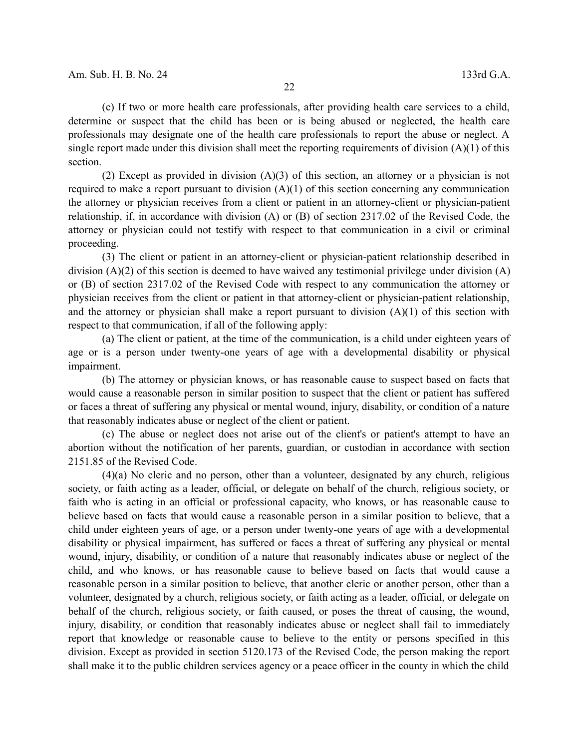(c) If two or more health care professionals, after providing health care services to a child, determine or suspect that the child has been or is being abused or neglected, the health care professionals may designate one of the health care professionals to report the abuse or neglect. A single report made under this division shall meet the reporting requirements of division (A)(1) of this section.

(2) Except as provided in division  $(A)(3)$  of this section, an attorney or a physician is not required to make a report pursuant to division (A)(1) of this section concerning any communication the attorney or physician receives from a client or patient in an attorney-client or physician-patient relationship, if, in accordance with division (A) or (B) of section 2317.02 of the Revised Code, the attorney or physician could not testify with respect to that communication in a civil or criminal proceeding.

(3) The client or patient in an attorney-client or physician-patient relationship described in division (A)(2) of this section is deemed to have waived any testimonial privilege under division (A) or (B) of section 2317.02 of the Revised Code with respect to any communication the attorney or physician receives from the client or patient in that attorney-client or physician-patient relationship, and the attorney or physician shall make a report pursuant to division  $(A)(1)$  of this section with respect to that communication, if all of the following apply:

(a) The client or patient, at the time of the communication, is a child under eighteen years of age or is a person under twenty-one years of age with a developmental disability or physical impairment.

(b) The attorney or physician knows, or has reasonable cause to suspect based on facts that would cause a reasonable person in similar position to suspect that the client or patient has suffered or faces a threat of suffering any physical or mental wound, injury, disability, or condition of a nature that reasonably indicates abuse or neglect of the client or patient.

(c) The abuse or neglect does not arise out of the client's or patient's attempt to have an abortion without the notification of her parents, guardian, or custodian in accordance with section 2151.85 of the Revised Code.

(4)(a) No cleric and no person, other than a volunteer, designated by any church, religious society, or faith acting as a leader, official, or delegate on behalf of the church, religious society, or faith who is acting in an official or professional capacity, who knows, or has reasonable cause to believe based on facts that would cause a reasonable person in a similar position to believe, that a child under eighteen years of age, or a person under twenty-one years of age with a developmental disability or physical impairment, has suffered or faces a threat of suffering any physical or mental wound, injury, disability, or condition of a nature that reasonably indicates abuse or neglect of the child, and who knows, or has reasonable cause to believe based on facts that would cause a reasonable person in a similar position to believe, that another cleric or another person, other than a volunteer, designated by a church, religious society, or faith acting as a leader, official, or delegate on behalf of the church, religious society, or faith caused, or poses the threat of causing, the wound, injury, disability, or condition that reasonably indicates abuse or neglect shall fail to immediately report that knowledge or reasonable cause to believe to the entity or persons specified in this division. Except as provided in section 5120.173 of the Revised Code, the person making the report shall make it to the public children services agency or a peace officer in the county in which the child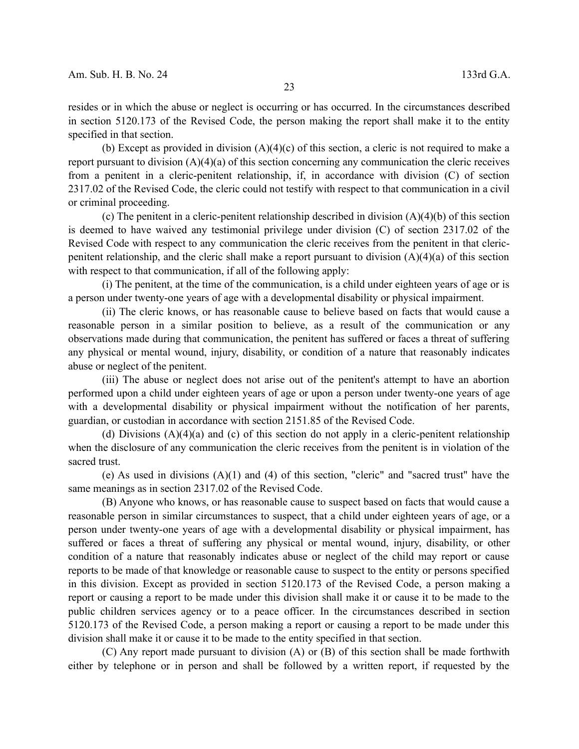(b) Except as provided in division (A)(4)(c) of this section, a cleric is not required to make a report pursuant to division (A)(4)(a) of this section concerning any communication the cleric receives from a penitent in a cleric-penitent relationship, if, in accordance with division (C) of section 2317.02 of the Revised Code, the cleric could not testify with respect to that communication in a civil or criminal proceeding.

(c) The penitent in a cleric-penitent relationship described in division  $(A)(4)(b)$  of this section is deemed to have waived any testimonial privilege under division (C) of section 2317.02 of the Revised Code with respect to any communication the cleric receives from the penitent in that clericpenitent relationship, and the cleric shall make a report pursuant to division  $(A)(4)(a)$  of this section with respect to that communication, if all of the following apply:

(i) The penitent, at the time of the communication, is a child under eighteen years of age or is a person under twenty-one years of age with a developmental disability or physical impairment.

(ii) The cleric knows, or has reasonable cause to believe based on facts that would cause a reasonable person in a similar position to believe, as a result of the communication or any observations made during that communication, the penitent has suffered or faces a threat of suffering any physical or mental wound, injury, disability, or condition of a nature that reasonably indicates abuse or neglect of the penitent.

(iii) The abuse or neglect does not arise out of the penitent's attempt to have an abortion performed upon a child under eighteen years of age or upon a person under twenty-one years of age with a developmental disability or physical impairment without the notification of her parents, guardian, or custodian in accordance with section 2151.85 of the Revised Code.

(d) Divisions  $(A)(4)(a)$  and (c) of this section do not apply in a cleric-penitent relationship when the disclosure of any communication the cleric receives from the penitent is in violation of the sacred trust.

(e) As used in divisions  $(A)(1)$  and  $(A)$  of this section, "cleric" and "sacred trust" have the same meanings as in section 2317.02 of the Revised Code.

(B) Anyone who knows, or has reasonable cause to suspect based on facts that would cause a reasonable person in similar circumstances to suspect, that a child under eighteen years of age, or a person under twenty-one years of age with a developmental disability or physical impairment, has suffered or faces a threat of suffering any physical or mental wound, injury, disability, or other condition of a nature that reasonably indicates abuse or neglect of the child may report or cause reports to be made of that knowledge or reasonable cause to suspect to the entity or persons specified in this division. Except as provided in section 5120.173 of the Revised Code, a person making a report or causing a report to be made under this division shall make it or cause it to be made to the public children services agency or to a peace officer. In the circumstances described in section 5120.173 of the Revised Code, a person making a report or causing a report to be made under this division shall make it or cause it to be made to the entity specified in that section.

(C) Any report made pursuant to division (A) or (B) of this section shall be made forthwith either by telephone or in person and shall be followed by a written report, if requested by the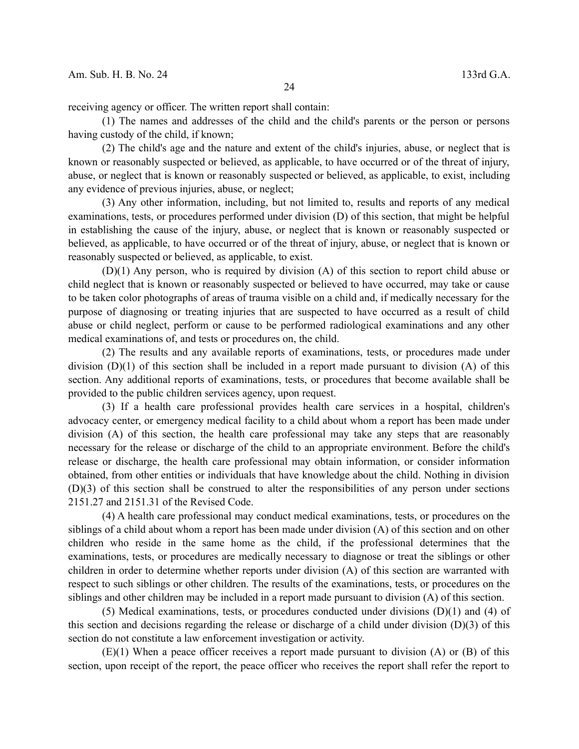receiving agency or officer. The written report shall contain:

(1) The names and addresses of the child and the child's parents or the person or persons having custody of the child, if known;

(2) The child's age and the nature and extent of the child's injuries, abuse, or neglect that is known or reasonably suspected or believed, as applicable, to have occurred or of the threat of injury, abuse, or neglect that is known or reasonably suspected or believed, as applicable, to exist, including any evidence of previous injuries, abuse, or neglect;

(3) Any other information, including, but not limited to, results and reports of any medical examinations, tests, or procedures performed under division (D) of this section, that might be helpful in establishing the cause of the injury, abuse, or neglect that is known or reasonably suspected or believed, as applicable, to have occurred or of the threat of injury, abuse, or neglect that is known or reasonably suspected or believed, as applicable, to exist.

(D)(1) Any person, who is required by division (A) of this section to report child abuse or child neglect that is known or reasonably suspected or believed to have occurred, may take or cause to be taken color photographs of areas of trauma visible on a child and, if medically necessary for the purpose of diagnosing or treating injuries that are suspected to have occurred as a result of child abuse or child neglect, perform or cause to be performed radiological examinations and any other medical examinations of, and tests or procedures on, the child.

(2) The results and any available reports of examinations, tests, or procedures made under division  $(D)(1)$  of this section shall be included in a report made pursuant to division  $(A)$  of this section. Any additional reports of examinations, tests, or procedures that become available shall be provided to the public children services agency, upon request.

(3) If a health care professional provides health care services in a hospital, children's advocacy center, or emergency medical facility to a child about whom a report has been made under division (A) of this section, the health care professional may take any steps that are reasonably necessary for the release or discharge of the child to an appropriate environment. Before the child's release or discharge, the health care professional may obtain information, or consider information obtained, from other entities or individuals that have knowledge about the child. Nothing in division (D)(3) of this section shall be construed to alter the responsibilities of any person under sections 2151.27 and 2151.31 of the Revised Code.

(4) A health care professional may conduct medical examinations, tests, or procedures on the siblings of a child about whom a report has been made under division (A) of this section and on other children who reside in the same home as the child, if the professional determines that the examinations, tests, or procedures are medically necessary to diagnose or treat the siblings or other children in order to determine whether reports under division (A) of this section are warranted with respect to such siblings or other children. The results of the examinations, tests, or procedures on the siblings and other children may be included in a report made pursuant to division (A) of this section.

(5) Medical examinations, tests, or procedures conducted under divisions (D)(1) and (4) of this section and decisions regarding the release or discharge of a child under division (D)(3) of this section do not constitute a law enforcement investigation or activity.

(E)(1) When a peace officer receives a report made pursuant to division (A) or (B) of this section, upon receipt of the report, the peace officer who receives the report shall refer the report to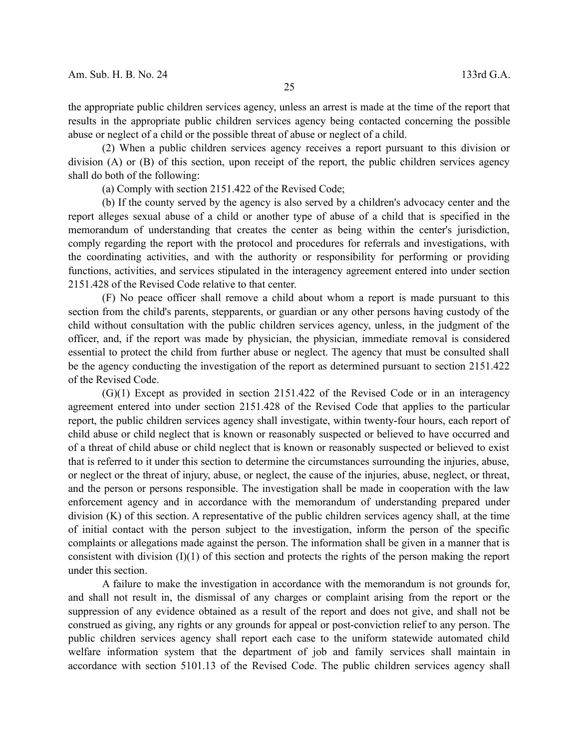(2) When a public children services agency receives a report pursuant to this division or division (A) or (B) of this section, upon receipt of the report, the public children services agency shall do both of the following:

(a) Comply with section 2151.422 of the Revised Code;

(b) If the county served by the agency is also served by a children's advocacy center and the report alleges sexual abuse of a child or another type of abuse of a child that is specified in the memorandum of understanding that creates the center as being within the center's jurisdiction, comply regarding the report with the protocol and procedures for referrals and investigations, with the coordinating activities, and with the authority or responsibility for performing or providing functions, activities, and services stipulated in the interagency agreement entered into under section 2151.428 of the Revised Code relative to that center.

(F) No peace officer shall remove a child about whom a report is made pursuant to this section from the child's parents, stepparents, or guardian or any other persons having custody of the child without consultation with the public children services agency, unless, in the judgment of the officer, and, if the report was made by physician, the physician, immediate removal is considered essential to protect the child from further abuse or neglect. The agency that must be consulted shall be the agency conducting the investigation of the report as determined pursuant to section 2151.422 of the Revised Code.

(G)(1) Except as provided in section 2151.422 of the Revised Code or in an interagency agreement entered into under section 2151.428 of the Revised Code that applies to the particular report, the public children services agency shall investigate, within twenty-four hours, each report of child abuse or child neglect that is known or reasonably suspected or believed to have occurred and of a threat of child abuse or child neglect that is known or reasonably suspected or believed to exist that is referred to it under this section to determine the circumstances surrounding the injuries, abuse, or neglect or the threat of injury, abuse, or neglect, the cause of the injuries, abuse, neglect, or threat, and the person or persons responsible. The investigation shall be made in cooperation with the law enforcement agency and in accordance with the memorandum of understanding prepared under division (K) of this section. A representative of the public children services agency shall, at the time of initial contact with the person subject to the investigation, inform the person of the specific complaints or allegations made against the person. The information shall be given in a manner that is consistent with division (I)(1) of this section and protects the rights of the person making the report under this section.

A failure to make the investigation in accordance with the memorandum is not grounds for, and shall not result in, the dismissal of any charges or complaint arising from the report or the suppression of any evidence obtained as a result of the report and does not give, and shall not be construed as giving, any rights or any grounds for appeal or post-conviction relief to any person. The public children services agency shall report each case to the uniform statewide automated child welfare information system that the department of job and family services shall maintain in accordance with section 5101.13 of the Revised Code. The public children services agency shall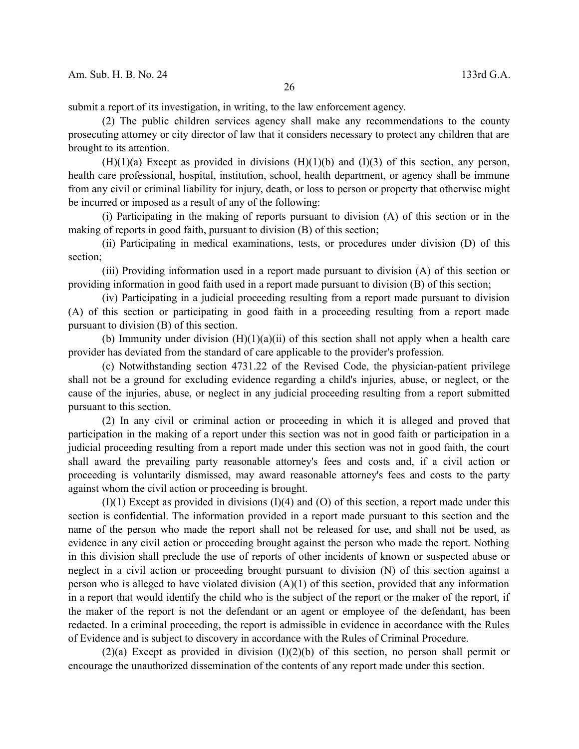submit a report of its investigation, in writing, to the law enforcement agency.

(2) The public children services agency shall make any recommendations to the county prosecuting attorney or city director of law that it considers necessary to protect any children that are brought to its attention.

 $(H)(1)(a)$  Except as provided in divisions  $(H)(1)(b)$  and  $(I)(3)$  of this section, any person, health care professional, hospital, institution, school, health department, or agency shall be immune from any civil or criminal liability for injury, death, or loss to person or property that otherwise might be incurred or imposed as a result of any of the following:

(i) Participating in the making of reports pursuant to division (A) of this section or in the making of reports in good faith, pursuant to division (B) of this section;

(ii) Participating in medical examinations, tests, or procedures under division (D) of this section;

(iii) Providing information used in a report made pursuant to division (A) of this section or providing information in good faith used in a report made pursuant to division (B) of this section;

(iv) Participating in a judicial proceeding resulting from a report made pursuant to division (A) of this section or participating in good faith in a proceeding resulting from a report made pursuant to division (B) of this section.

(b) Immunity under division  $(H)(1)(a)(ii)$  of this section shall not apply when a health care provider has deviated from the standard of care applicable to the provider's profession.

(c) Notwithstanding section 4731.22 of the Revised Code, the physician-patient privilege shall not be a ground for excluding evidence regarding a child's injuries, abuse, or neglect, or the cause of the injuries, abuse, or neglect in any judicial proceeding resulting from a report submitted pursuant to this section.

(2) In any civil or criminal action or proceeding in which it is alleged and proved that participation in the making of a report under this section was not in good faith or participation in a judicial proceeding resulting from a report made under this section was not in good faith, the court shall award the prevailing party reasonable attorney's fees and costs and, if a civil action or proceeding is voluntarily dismissed, may award reasonable attorney's fees and costs to the party against whom the civil action or proceeding is brought.

 $(I)(1)$  Except as provided in divisions  $(I)(4)$  and  $(O)$  of this section, a report made under this section is confidential. The information provided in a report made pursuant to this section and the name of the person who made the report shall not be released for use, and shall not be used, as evidence in any civil action or proceeding brought against the person who made the report. Nothing in this division shall preclude the use of reports of other incidents of known or suspected abuse or neglect in a civil action or proceeding brought pursuant to division (N) of this section against a person who is alleged to have violated division (A)(1) of this section, provided that any information in a report that would identify the child who is the subject of the report or the maker of the report, if the maker of the report is not the defendant or an agent or employee of the defendant, has been redacted. In a criminal proceeding, the report is admissible in evidence in accordance with the Rules of Evidence and is subject to discovery in accordance with the Rules of Criminal Procedure.

 $(2)(a)$  Except as provided in division  $(1)(2)(b)$  of this section, no person shall permit or encourage the unauthorized dissemination of the contents of any report made under this section.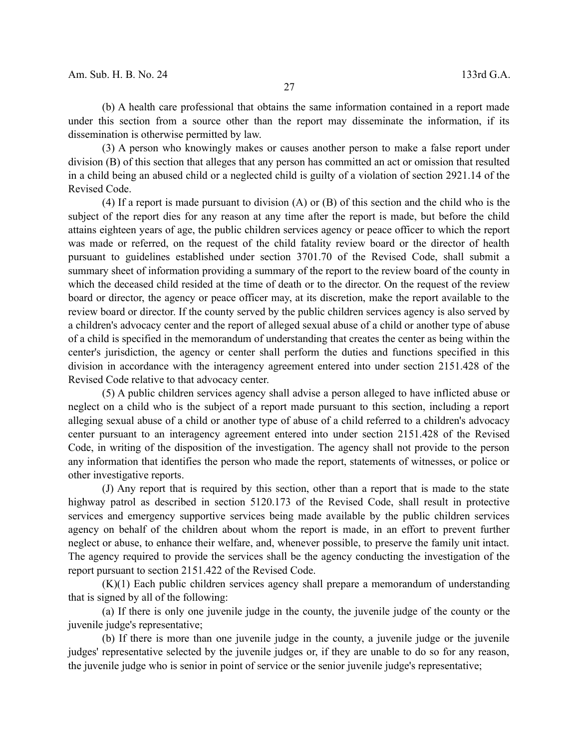(b) A health care professional that obtains the same information contained in a report made under this section from a source other than the report may disseminate the information, if its dissemination is otherwise permitted by law.

(3) A person who knowingly makes or causes another person to make a false report under division (B) of this section that alleges that any person has committed an act or omission that resulted in a child being an abused child or a neglected child is guilty of a violation of section 2921.14 of the Revised Code.

(4) If a report is made pursuant to division (A) or (B) of this section and the child who is the subject of the report dies for any reason at any time after the report is made, but before the child attains eighteen years of age, the public children services agency or peace officer to which the report was made or referred, on the request of the child fatality review board or the director of health pursuant to guidelines established under section 3701.70 of the Revised Code, shall submit a summary sheet of information providing a summary of the report to the review board of the county in which the deceased child resided at the time of death or to the director. On the request of the review board or director, the agency or peace officer may, at its discretion, make the report available to the review board or director. If the county served by the public children services agency is also served by a children's advocacy center and the report of alleged sexual abuse of a child or another type of abuse of a child is specified in the memorandum of understanding that creates the center as being within the center's jurisdiction, the agency or center shall perform the duties and functions specified in this division in accordance with the interagency agreement entered into under section 2151.428 of the Revised Code relative to that advocacy center.

(5) A public children services agency shall advise a person alleged to have inflicted abuse or neglect on a child who is the subject of a report made pursuant to this section, including a report alleging sexual abuse of a child or another type of abuse of a child referred to a children's advocacy center pursuant to an interagency agreement entered into under section 2151.428 of the Revised Code, in writing of the disposition of the investigation. The agency shall not provide to the person any information that identifies the person who made the report, statements of witnesses, or police or other investigative reports.

(J) Any report that is required by this section, other than a report that is made to the state highway patrol as described in section 5120.173 of the Revised Code, shall result in protective services and emergency supportive services being made available by the public children services agency on behalf of the children about whom the report is made, in an effort to prevent further neglect or abuse, to enhance their welfare, and, whenever possible, to preserve the family unit intact. The agency required to provide the services shall be the agency conducting the investigation of the report pursuant to section 2151.422 of the Revised Code.

(K)(1) Each public children services agency shall prepare a memorandum of understanding that is signed by all of the following:

(a) If there is only one juvenile judge in the county, the juvenile judge of the county or the juvenile judge's representative;

(b) If there is more than one juvenile judge in the county, a juvenile judge or the juvenile judges' representative selected by the juvenile judges or, if they are unable to do so for any reason, the juvenile judge who is senior in point of service or the senior juvenile judge's representative;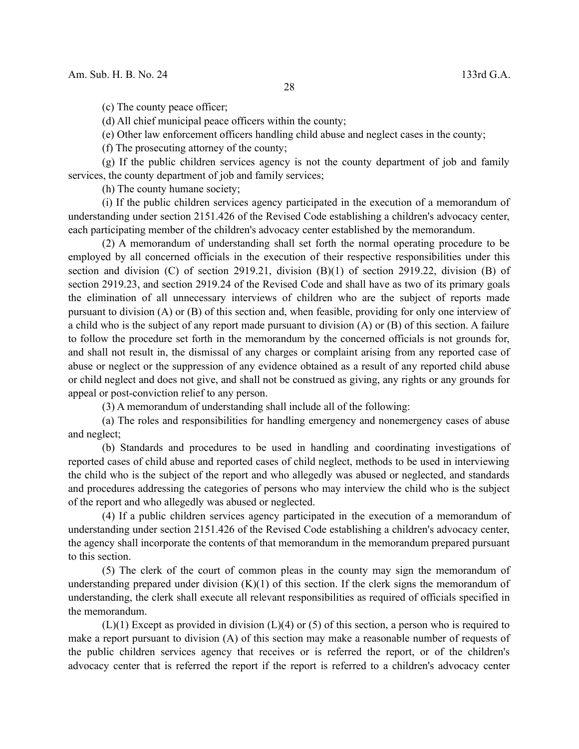(c) The county peace officer;

(d) All chief municipal peace officers within the county;

(e) Other law enforcement officers handling child abuse and neglect cases in the county;

(f) The prosecuting attorney of the county;

(g) If the public children services agency is not the county department of job and family services, the county department of job and family services;

(h) The county humane society;

(i) If the public children services agency participated in the execution of a memorandum of understanding under section 2151.426 of the Revised Code establishing a children's advocacy center, each participating member of the children's advocacy center established by the memorandum.

(2) A memorandum of understanding shall set forth the normal operating procedure to be employed by all concerned officials in the execution of their respective responsibilities under this section and division (C) of section 2919.21, division (B)(1) of section 2919.22, division (B) of section 2919.23, and section 2919.24 of the Revised Code and shall have as two of its primary goals the elimination of all unnecessary interviews of children who are the subject of reports made pursuant to division (A) or (B) of this section and, when feasible, providing for only one interview of a child who is the subject of any report made pursuant to division (A) or (B) of this section. A failure to follow the procedure set forth in the memorandum by the concerned officials is not grounds for, and shall not result in, the dismissal of any charges or complaint arising from any reported case of abuse or neglect or the suppression of any evidence obtained as a result of any reported child abuse or child neglect and does not give, and shall not be construed as giving, any rights or any grounds for appeal or post-conviction relief to any person.

(3) A memorandum of understanding shall include all of the following:

(a) The roles and responsibilities for handling emergency and nonemergency cases of abuse and neglect;

(b) Standards and procedures to be used in handling and coordinating investigations of reported cases of child abuse and reported cases of child neglect, methods to be used in interviewing the child who is the subject of the report and who allegedly was abused or neglected, and standards and procedures addressing the categories of persons who may interview the child who is the subject of the report and who allegedly was abused or neglected.

(4) If a public children services agency participated in the execution of a memorandum of understanding under section 2151.426 of the Revised Code establishing a children's advocacy center, the agency shall incorporate the contents of that memorandum in the memorandum prepared pursuant to this section.

(5) The clerk of the court of common pleas in the county may sign the memorandum of understanding prepared under division  $(K)(1)$  of this section. If the clerk signs the memorandum of understanding, the clerk shall execute all relevant responsibilities as required of officials specified in the memorandum.

(L)(1) Except as provided in division (L)(4) or (5) of this section, a person who is required to make a report pursuant to division (A) of this section may make a reasonable number of requests of the public children services agency that receives or is referred the report, or of the children's advocacy center that is referred the report if the report is referred to a children's advocacy center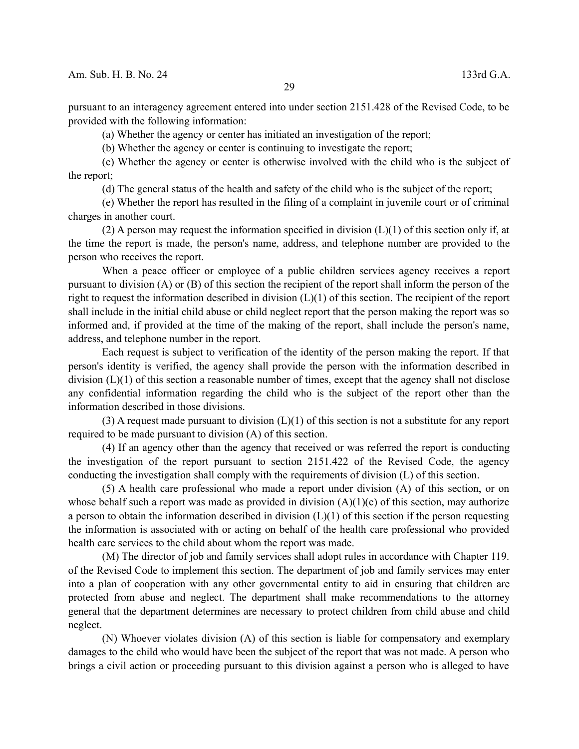pursuant to an interagency agreement entered into under section 2151.428 of the Revised Code, to be provided with the following information:

(a) Whether the agency or center has initiated an investigation of the report;

(b) Whether the agency or center is continuing to investigate the report;

(c) Whether the agency or center is otherwise involved with the child who is the subject of the report;

(d) The general status of the health and safety of the child who is the subject of the report;

(e) Whether the report has resulted in the filing of a complaint in juvenile court or of criminal charges in another court.

(2) A person may request the information specified in division  $(L)(1)$  of this section only if, at the time the report is made, the person's name, address, and telephone number are provided to the person who receives the report.

When a peace officer or employee of a public children services agency receives a report pursuant to division (A) or (B) of this section the recipient of the report shall inform the person of the right to request the information described in division  $(L)(1)$  of this section. The recipient of the report shall include in the initial child abuse or child neglect report that the person making the report was so informed and, if provided at the time of the making of the report, shall include the person's name, address, and telephone number in the report.

Each request is subject to verification of the identity of the person making the report. If that person's identity is verified, the agency shall provide the person with the information described in division (L)(1) of this section a reasonable number of times, except that the agency shall not disclose any confidential information regarding the child who is the subject of the report other than the information described in those divisions.

(3) A request made pursuant to division (L)(1) of this section is not a substitute for any report required to be made pursuant to division (A) of this section.

(4) If an agency other than the agency that received or was referred the report is conducting the investigation of the report pursuant to section 2151.422 of the Revised Code, the agency conducting the investigation shall comply with the requirements of division (L) of this section.

(5) A health care professional who made a report under division (A) of this section, or on whose behalf such a report was made as provided in division  $(A)(1)(c)$  of this section, may authorize a person to obtain the information described in division  $(L)(1)$  of this section if the person requesting the information is associated with or acting on behalf of the health care professional who provided health care services to the child about whom the report was made.

(M) The director of job and family services shall adopt rules in accordance with Chapter 119. of the Revised Code to implement this section. The department of job and family services may enter into a plan of cooperation with any other governmental entity to aid in ensuring that children are protected from abuse and neglect. The department shall make recommendations to the attorney general that the department determines are necessary to protect children from child abuse and child neglect.

(N) Whoever violates division (A) of this section is liable for compensatory and exemplary damages to the child who would have been the subject of the report that was not made. A person who brings a civil action or proceeding pursuant to this division against a person who is alleged to have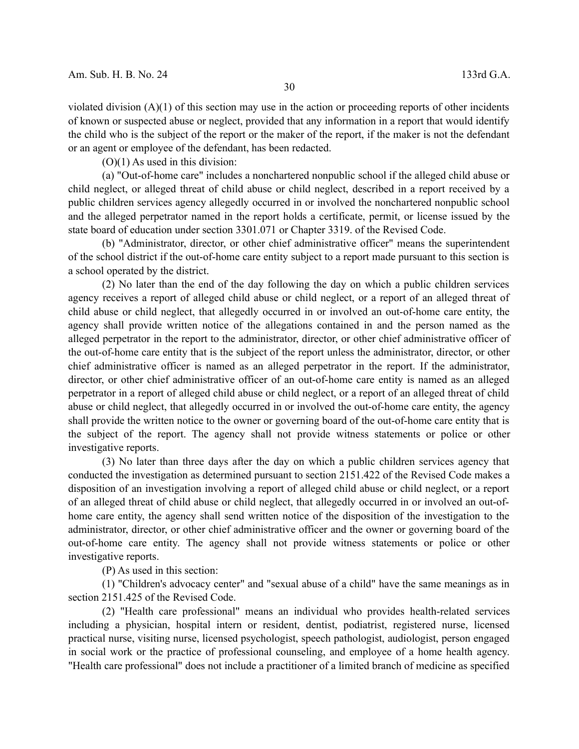violated division (A)(1) of this section may use in the action or proceeding reports of other incidents of known or suspected abuse or neglect, provided that any information in a report that would identify the child who is the subject of the report or the maker of the report, if the maker is not the defendant or an agent or employee of the defendant, has been redacted.

(O)(1) As used in this division:

(a) "Out-of-home care" includes a nonchartered nonpublic school if the alleged child abuse or child neglect, or alleged threat of child abuse or child neglect, described in a report received by a public children services agency allegedly occurred in or involved the nonchartered nonpublic school and the alleged perpetrator named in the report holds a certificate, permit, or license issued by the state board of education under section 3301.071 or Chapter 3319. of the Revised Code.

(b) "Administrator, director, or other chief administrative officer" means the superintendent of the school district if the out-of-home care entity subject to a report made pursuant to this section is a school operated by the district.

(2) No later than the end of the day following the day on which a public children services agency receives a report of alleged child abuse or child neglect, or a report of an alleged threat of child abuse or child neglect, that allegedly occurred in or involved an out-of-home care entity, the agency shall provide written notice of the allegations contained in and the person named as the alleged perpetrator in the report to the administrator, director, or other chief administrative officer of the out-of-home care entity that is the subject of the report unless the administrator, director, or other chief administrative officer is named as an alleged perpetrator in the report. If the administrator, director, or other chief administrative officer of an out-of-home care entity is named as an alleged perpetrator in a report of alleged child abuse or child neglect, or a report of an alleged threat of child abuse or child neglect, that allegedly occurred in or involved the out-of-home care entity, the agency shall provide the written notice to the owner or governing board of the out-of-home care entity that is the subject of the report. The agency shall not provide witness statements or police or other investigative reports.

(3) No later than three days after the day on which a public children services agency that conducted the investigation as determined pursuant to section 2151.422 of the Revised Code makes a disposition of an investigation involving a report of alleged child abuse or child neglect, or a report of an alleged threat of child abuse or child neglect, that allegedly occurred in or involved an out-ofhome care entity, the agency shall send written notice of the disposition of the investigation to the administrator, director, or other chief administrative officer and the owner or governing board of the out-of-home care entity. The agency shall not provide witness statements or police or other investigative reports.

(P) As used in this section:

(1) "Children's advocacy center" and "sexual abuse of a child" have the same meanings as in section 2151.425 of the Revised Code.

(2) "Health care professional" means an individual who provides health-related services including a physician, hospital intern or resident, dentist, podiatrist, registered nurse, licensed practical nurse, visiting nurse, licensed psychologist, speech pathologist, audiologist, person engaged in social work or the practice of professional counseling, and employee of a home health agency. "Health care professional" does not include a practitioner of a limited branch of medicine as specified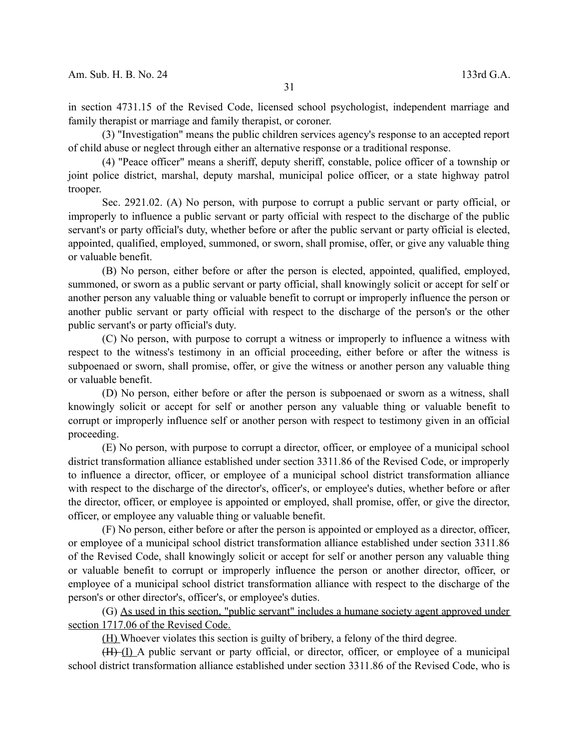in section 4731.15 of the Revised Code, licensed school psychologist, independent marriage and family therapist or marriage and family therapist, or coroner.

(3) "Investigation" means the public children services agency's response to an accepted report of child abuse or neglect through either an alternative response or a traditional response.

(4) "Peace officer" means a sheriff, deputy sheriff, constable, police officer of a township or joint police district, marshal, deputy marshal, municipal police officer, or a state highway patrol trooper.

Sec. 2921.02. (A) No person, with purpose to corrupt a public servant or party official, or improperly to influence a public servant or party official with respect to the discharge of the public servant's or party official's duty, whether before or after the public servant or party official is elected, appointed, qualified, employed, summoned, or sworn, shall promise, offer, or give any valuable thing or valuable benefit.

(B) No person, either before or after the person is elected, appointed, qualified, employed, summoned, or sworn as a public servant or party official, shall knowingly solicit or accept for self or another person any valuable thing or valuable benefit to corrupt or improperly influence the person or another public servant or party official with respect to the discharge of the person's or the other public servant's or party official's duty.

(C) No person, with purpose to corrupt a witness or improperly to influence a witness with respect to the witness's testimony in an official proceeding, either before or after the witness is subpoenaed or sworn, shall promise, offer, or give the witness or another person any valuable thing or valuable benefit.

(D) No person, either before or after the person is subpoenaed or sworn as a witness, shall knowingly solicit or accept for self or another person any valuable thing or valuable benefit to corrupt or improperly influence self or another person with respect to testimony given in an official proceeding.

(E) No person, with purpose to corrupt a director, officer, or employee of a municipal school district transformation alliance established under section 3311.86 of the Revised Code, or improperly to influence a director, officer, or employee of a municipal school district transformation alliance with respect to the discharge of the director's, officer's, or employee's duties, whether before or after the director, officer, or employee is appointed or employed, shall promise, offer, or give the director, officer, or employee any valuable thing or valuable benefit.

(F) No person, either before or after the person is appointed or employed as a director, officer, or employee of a municipal school district transformation alliance established under section 3311.86 of the Revised Code, shall knowingly solicit or accept for self or another person any valuable thing or valuable benefit to corrupt or improperly influence the person or another director, officer, or employee of a municipal school district transformation alliance with respect to the discharge of the person's or other director's, officer's, or employee's duties.

(G) As used in this section, "public servant" includes a humane society agent approved under section 1717.06 of the Revised Code.

(H) Whoever violates this section is guilty of bribery, a felony of the third degree.

(H) (I) A public servant or party official, or director, officer, or employee of a municipal school district transformation alliance established under section 3311.86 of the Revised Code, who is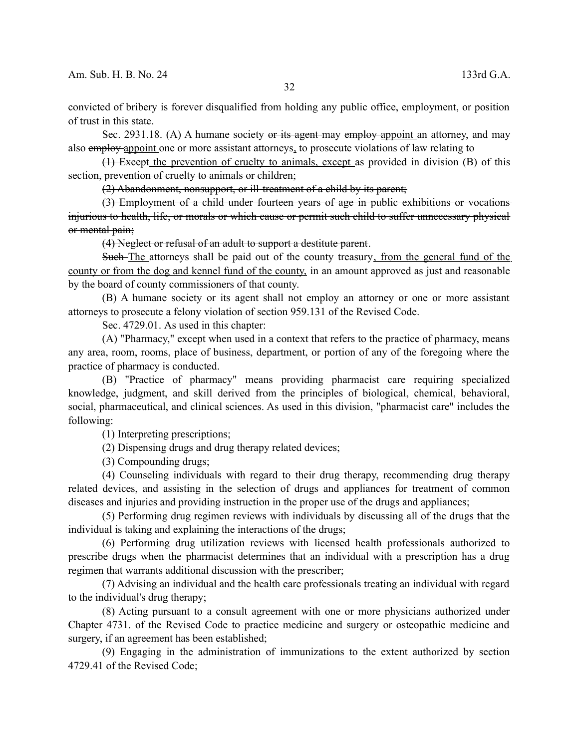convicted of bribery is forever disqualified from holding any public office, employment, or position of trust in this state.

Sec. 2931.18. (A) A humane society or its agent may employ appoint an attorney, and may also employ appoint one or more assistant attorneys, to prosecute violations of law relating to

(1) Except the prevention of cruelty to animals, except as provided in division (B) of this section, prevention of cruelty to animals or children;

(2) Abandonment, nonsupport, or ill-treatment of a child by its parent;

(3) Employment of a child under fourteen years of age in public exhibitions or vocations injurious to health, life, or morals or which cause or permit such child to suffer unnecessary physical or mental pain;

(4) Neglect or refusal of an adult to support a destitute parent.

Such The attorneys shall be paid out of the county treasury, from the general fund of the county or from the dog and kennel fund of the county, in an amount approved as just and reasonable by the board of county commissioners of that county.

(B) A humane society or its agent shall not employ an attorney or one or more assistant attorneys to prosecute a felony violation of section 959.131 of the Revised Code.

Sec. 4729.01. As used in this chapter:

(A) "Pharmacy," except when used in a context that refers to the practice of pharmacy, means any area, room, rooms, place of business, department, or portion of any of the foregoing where the practice of pharmacy is conducted.

(B) "Practice of pharmacy" means providing pharmacist care requiring specialized knowledge, judgment, and skill derived from the principles of biological, chemical, behavioral, social, pharmaceutical, and clinical sciences. As used in this division, "pharmacist care" includes the following:

(1) Interpreting prescriptions;

(2) Dispensing drugs and drug therapy related devices;

(3) Compounding drugs;

(4) Counseling individuals with regard to their drug therapy, recommending drug therapy related devices, and assisting in the selection of drugs and appliances for treatment of common diseases and injuries and providing instruction in the proper use of the drugs and appliances;

(5) Performing drug regimen reviews with individuals by discussing all of the drugs that the individual is taking and explaining the interactions of the drugs;

(6) Performing drug utilization reviews with licensed health professionals authorized to prescribe drugs when the pharmacist determines that an individual with a prescription has a drug regimen that warrants additional discussion with the prescriber;

(7) Advising an individual and the health care professionals treating an individual with regard to the individual's drug therapy;

(8) Acting pursuant to a consult agreement with one or more physicians authorized under Chapter 4731. of the Revised Code to practice medicine and surgery or osteopathic medicine and surgery, if an agreement has been established;

(9) Engaging in the administration of immunizations to the extent authorized by section 4729.41 of the Revised Code;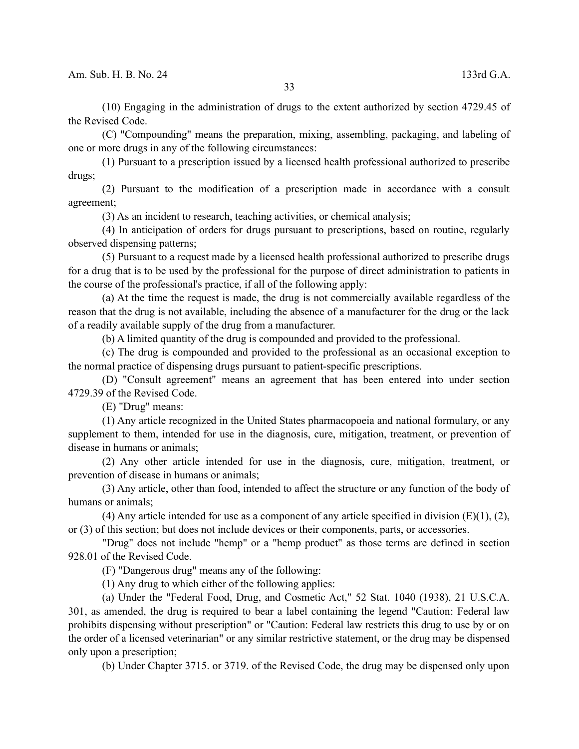(10) Engaging in the administration of drugs to the extent authorized by section 4729.45 of the Revised Code.

(C) "Compounding" means the preparation, mixing, assembling, packaging, and labeling of one or more drugs in any of the following circumstances:

(1) Pursuant to a prescription issued by a licensed health professional authorized to prescribe drugs;

(2) Pursuant to the modification of a prescription made in accordance with a consult agreement;

(3) As an incident to research, teaching activities, or chemical analysis;

(4) In anticipation of orders for drugs pursuant to prescriptions, based on routine, regularly observed dispensing patterns;

(5) Pursuant to a request made by a licensed health professional authorized to prescribe drugs for a drug that is to be used by the professional for the purpose of direct administration to patients in the course of the professional's practice, if all of the following apply:

(a) At the time the request is made, the drug is not commercially available regardless of the reason that the drug is not available, including the absence of a manufacturer for the drug or the lack of a readily available supply of the drug from a manufacturer.

(b) A limited quantity of the drug is compounded and provided to the professional.

(c) The drug is compounded and provided to the professional as an occasional exception to the normal practice of dispensing drugs pursuant to patient-specific prescriptions.

(D) "Consult agreement" means an agreement that has been entered into under section 4729.39 of the Revised Code.

(E) "Drug" means:

(1) Any article recognized in the United States pharmacopoeia and national formulary, or any supplement to them, intended for use in the diagnosis, cure, mitigation, treatment, or prevention of disease in humans or animals;

(2) Any other article intended for use in the diagnosis, cure, mitigation, treatment, or prevention of disease in humans or animals;

(3) Any article, other than food, intended to affect the structure or any function of the body of humans or animals;

 $(4)$  Any article intended for use as a component of any article specified in division  $(E)(1)$ ,  $(2)$ , or (3) of this section; but does not include devices or their components, parts, or accessories.

"Drug" does not include "hemp" or a "hemp product" as those terms are defined in section 928.01 of the Revised Code.

(F) "Dangerous drug" means any of the following:

(1) Any drug to which either of the following applies:

(a) Under the "Federal Food, Drug, and Cosmetic Act," 52 Stat. 1040 (1938), 21 U.S.C.A. 301, as amended, the drug is required to bear a label containing the legend "Caution: Federal law prohibits dispensing without prescription" or "Caution: Federal law restricts this drug to use by or on the order of a licensed veterinarian" or any similar restrictive statement, or the drug may be dispensed only upon a prescription;

(b) Under Chapter 3715. or 3719. of the Revised Code, the drug may be dispensed only upon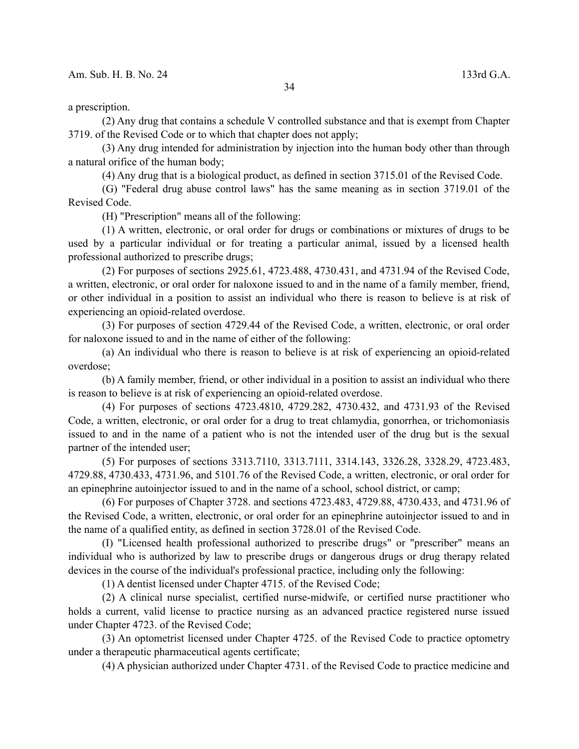a prescription.

(2) Any drug that contains a schedule V controlled substance and that is exempt from Chapter 3719. of the Revised Code or to which that chapter does not apply;

(3) Any drug intended for administration by injection into the human body other than through a natural orifice of the human body;

(4) Any drug that is a biological product, as defined in section 3715.01 of the Revised Code.

(G) "Federal drug abuse control laws" has the same meaning as in section 3719.01 of the Revised Code.

(H) "Prescription" means all of the following:

(1) A written, electronic, or oral order for drugs or combinations or mixtures of drugs to be used by a particular individual or for treating a particular animal, issued by a licensed health professional authorized to prescribe drugs;

(2) For purposes of sections 2925.61, 4723.488, 4730.431, and 4731.94 of the Revised Code, a written, electronic, or oral order for naloxone issued to and in the name of a family member, friend, or other individual in a position to assist an individual who there is reason to believe is at risk of experiencing an opioid-related overdose.

(3) For purposes of section 4729.44 of the Revised Code, a written, electronic, or oral order for naloxone issued to and in the name of either of the following:

(a) An individual who there is reason to believe is at risk of experiencing an opioid-related overdose;

(b) A family member, friend, or other individual in a position to assist an individual who there is reason to believe is at risk of experiencing an opioid-related overdose.

(4) For purposes of sections 4723.4810, 4729.282, 4730.432, and 4731.93 of the Revised Code, a written, electronic, or oral order for a drug to treat chlamydia, gonorrhea, or trichomoniasis issued to and in the name of a patient who is not the intended user of the drug but is the sexual partner of the intended user;

(5) For purposes of sections 3313.7110, 3313.7111, 3314.143, 3326.28, 3328.29, 4723.483, 4729.88, 4730.433, 4731.96, and 5101.76 of the Revised Code, a written, electronic, or oral order for an epinephrine autoinjector issued to and in the name of a school, school district, or camp;

(6) For purposes of Chapter 3728. and sections 4723.483, 4729.88, 4730.433, and 4731.96 of the Revised Code, a written, electronic, or oral order for an epinephrine autoinjector issued to and in the name of a qualified entity, as defined in section 3728.01 of the Revised Code.

(I) "Licensed health professional authorized to prescribe drugs" or "prescriber" means an individual who is authorized by law to prescribe drugs or dangerous drugs or drug therapy related devices in the course of the individual's professional practice, including only the following:

(1) A dentist licensed under Chapter 4715. of the Revised Code;

(2) A clinical nurse specialist, certified nurse-midwife, or certified nurse practitioner who holds a current, valid license to practice nursing as an advanced practice registered nurse issued under Chapter 4723. of the Revised Code;

(3) An optometrist licensed under Chapter 4725. of the Revised Code to practice optometry under a therapeutic pharmaceutical agents certificate;

(4) A physician authorized under Chapter 4731. of the Revised Code to practice medicine and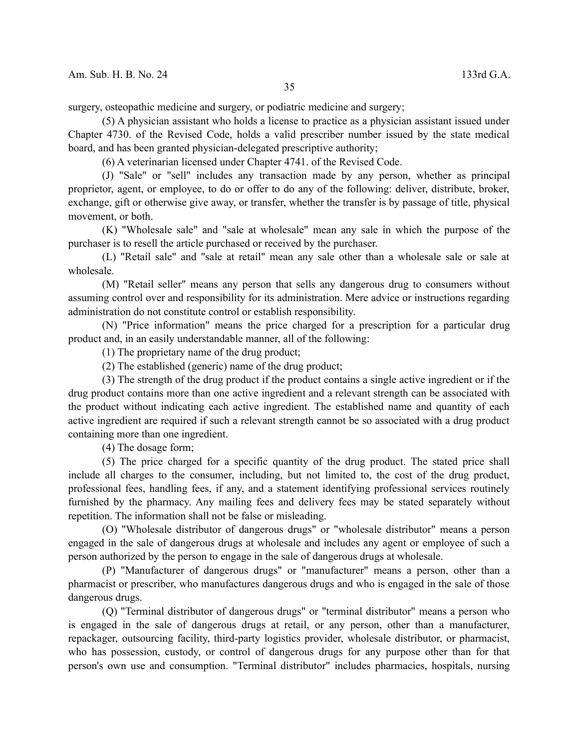surgery, osteopathic medicine and surgery, or podiatric medicine and surgery;

(5) A physician assistant who holds a license to practice as a physician assistant issued under Chapter 4730. of the Revised Code, holds a valid prescriber number issued by the state medical board, and has been granted physician-delegated prescriptive authority;

(6) A veterinarian licensed under Chapter 4741. of the Revised Code.

(J) "Sale" or "sell" includes any transaction made by any person, whether as principal proprietor, agent, or employee, to do or offer to do any of the following: deliver, distribute, broker, exchange, gift or otherwise give away, or transfer, whether the transfer is by passage of title, physical movement, or both.

(K) "Wholesale sale" and "sale at wholesale" mean any sale in which the purpose of the purchaser is to resell the article purchased or received by the purchaser.

(L) "Retail sale" and "sale at retail" mean any sale other than a wholesale sale or sale at wholesale.

(M) "Retail seller" means any person that sells any dangerous drug to consumers without assuming control over and responsibility for its administration. Mere advice or instructions regarding administration do not constitute control or establish responsibility.

(N) "Price information" means the price charged for a prescription for a particular drug product and, in an easily understandable manner, all of the following:

(1) The proprietary name of the drug product;

(2) The established (generic) name of the drug product;

(3) The strength of the drug product if the product contains a single active ingredient or if the drug product contains more than one active ingredient and a relevant strength can be associated with the product without indicating each active ingredient. The established name and quantity of each active ingredient are required if such a relevant strength cannot be so associated with a drug product containing more than one ingredient.

(4) The dosage form;

(5) The price charged for a specific quantity of the drug product. The stated price shall include all charges to the consumer, including, but not limited to, the cost of the drug product, professional fees, handling fees, if any, and a statement identifying professional services routinely furnished by the pharmacy. Any mailing fees and delivery fees may be stated separately without repetition. The information shall not be false or misleading.

(O) "Wholesale distributor of dangerous drugs" or "wholesale distributor" means a person engaged in the sale of dangerous drugs at wholesale and includes any agent or employee of such a person authorized by the person to engage in the sale of dangerous drugs at wholesale.

(P) "Manufacturer of dangerous drugs" or "manufacturer" means a person, other than a pharmacist or prescriber, who manufactures dangerous drugs and who is engaged in the sale of those dangerous drugs.

(Q) "Terminal distributor of dangerous drugs" or "terminal distributor" means a person who is engaged in the sale of dangerous drugs at retail, or any person, other than a manufacturer, repackager, outsourcing facility, third-party logistics provider, wholesale distributor, or pharmacist, who has possession, custody, or control of dangerous drugs for any purpose other than for that person's own use and consumption. "Terminal distributor" includes pharmacies, hospitals, nursing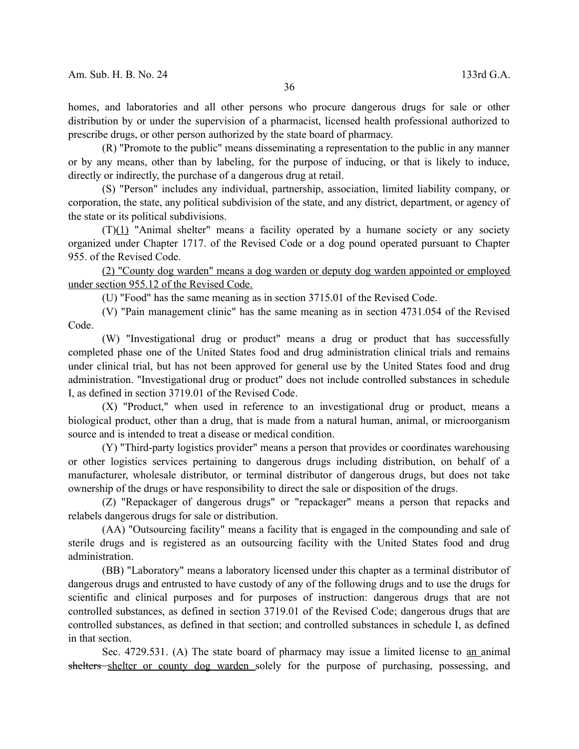homes, and laboratories and all other persons who procure dangerous drugs for sale or other distribution by or under the supervision of a pharmacist, licensed health professional authorized to prescribe drugs, or other person authorized by the state board of pharmacy.

(R) "Promote to the public" means disseminating a representation to the public in any manner or by any means, other than by labeling, for the purpose of inducing, or that is likely to induce, directly or indirectly, the purchase of a dangerous drug at retail.

(S) "Person" includes any individual, partnership, association, limited liability company, or corporation, the state, any political subdivision of the state, and any district, department, or agency of the state or its political subdivisions.

(T)(1) "Animal shelter" means a facility operated by a humane society or any society organized under Chapter 1717. of the Revised Code or a dog pound operated pursuant to Chapter 955. of the Revised Code.

(2) "County dog warden" means a dog warden or deputy dog warden appointed or employed under section 955.12 of the Revised Code.

(U) "Food" has the same meaning as in section 3715.01 of the Revised Code.

(V) "Pain management clinic" has the same meaning as in section 4731.054 of the Revised Code.

(W) "Investigational drug or product" means a drug or product that has successfully completed phase one of the United States food and drug administration clinical trials and remains under clinical trial, but has not been approved for general use by the United States food and drug administration. "Investigational drug or product" does not include controlled substances in schedule I, as defined in section 3719.01 of the Revised Code.

(X) "Product," when used in reference to an investigational drug or product, means a biological product, other than a drug, that is made from a natural human, animal, or microorganism source and is intended to treat a disease or medical condition.

(Y) "Third-party logistics provider" means a person that provides or coordinates warehousing or other logistics services pertaining to dangerous drugs including distribution, on behalf of a manufacturer, wholesale distributor, or terminal distributor of dangerous drugs, but does not take ownership of the drugs or have responsibility to direct the sale or disposition of the drugs.

(Z) "Repackager of dangerous drugs" or "repackager" means a person that repacks and relabels dangerous drugs for sale or distribution.

(AA) "Outsourcing facility" means a facility that is engaged in the compounding and sale of sterile drugs and is registered as an outsourcing facility with the United States food and drug administration.

(BB) "Laboratory" means a laboratory licensed under this chapter as a terminal distributor of dangerous drugs and entrusted to have custody of any of the following drugs and to use the drugs for scientific and clinical purposes and for purposes of instruction: dangerous drugs that are not controlled substances, as defined in section 3719.01 of the Revised Code; dangerous drugs that are controlled substances, as defined in that section; and controlled substances in schedule I, as defined in that section.

Sec. 4729.531. (A) The state board of pharmacy may issue a limited license to an animal shelters shelter or county dog warden solely for the purpose of purchasing, possessing, and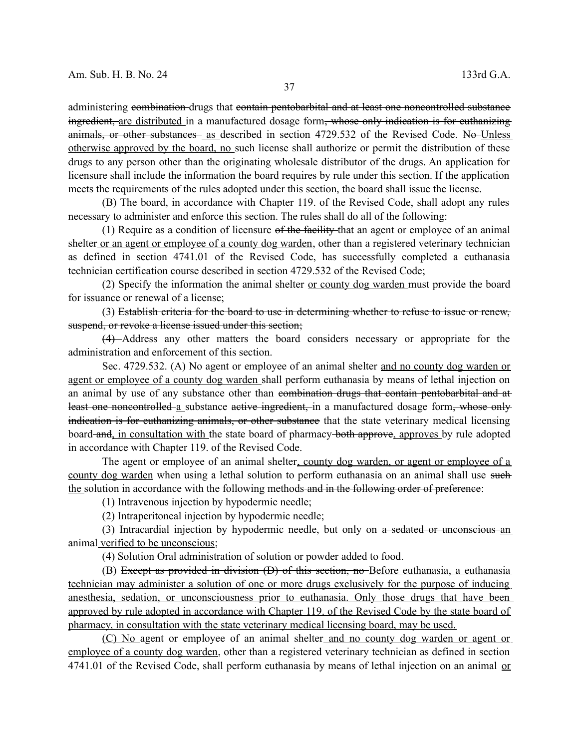administering combination drugs that contain pentobarbital and at least one noncontrolled substance ingredient, are distributed in a manufactured dosage form, whose only indication is for euthanizing animals, or other substances as described in section 4729.532 of the Revised Code. No Unless otherwise approved by the board, no such license shall authorize or permit the distribution of these drugs to any person other than the originating wholesale distributor of the drugs. An application for licensure shall include the information the board requires by rule under this section. If the application meets the requirements of the rules adopted under this section, the board shall issue the license.

(B) The board, in accordance with Chapter 119. of the Revised Code, shall adopt any rules necessary to administer and enforce this section. The rules shall do all of the following:

(1) Require as a condition of licensure of the facility that an agent or employee of an animal shelter or an agent or employee of a county dog warden, other than a registered veterinary technician as defined in section 4741.01 of the Revised Code, has successfully completed a euthanasia technician certification course described in section 4729.532 of the Revised Code;

(2) Specify the information the animal shelter or county dog warden must provide the board for issuance or renewal of a license;

(3) Establish criteria for the board to use in determining whether to refuse to issue or renew, suspend, or revoke a license issued under this section;

(4) Address any other matters the board considers necessary or appropriate for the administration and enforcement of this section.

Sec. 4729.532. (A) No agent or employee of an animal shelter and no county dog warden or agent or employee of a county dog warden shall perform euthanasia by means of lethal injection on an animal by use of any substance other than combination drugs that contain pentobarbital and at least one noncontrolled a substance active ingredient, in a manufactured dosage form, whose only indication is for cuthanizing animals, or other substance that the state veterinary medical licensing board and, in consultation with the state board of pharmacy both approve, approves by rule adopted in accordance with Chapter 119. of the Revised Code.

The agent or employee of an animal shelter, county dog warden, or agent or employee of a county dog warden when using a lethal solution to perform euthanasia on an animal shall use such the solution in accordance with the following methods and in the following order of preference:

(1) Intravenous injection by hypodermic needle;

(2) Intraperitoneal injection by hypodermic needle;

(3) Intracardial injection by hypodermic needle, but only on a sedated or unconscious an animal verified to be unconscious;

(4) Solution Oral administration of solution or powder-added to food.

(B) Except as provided in division (D) of this section, no Before euthanasia, a euthanasia technician may administer a solution of one or more drugs exclusively for the purpose of inducing anesthesia, sedation, or unconsciousness prior to euthanasia. Only those drugs that have been approved by rule adopted in accordance with Chapter 119. of the Revised Code by the state board of pharmacy, in consultation with the state veterinary medical licensing board, may be used.

(C) No agent or employee of an animal shelter and no county dog warden or agent or employee of a county dog warden, other than a registered veterinary technician as defined in section 4741.01 of the Revised Code, shall perform euthanasia by means of lethal injection on an animal or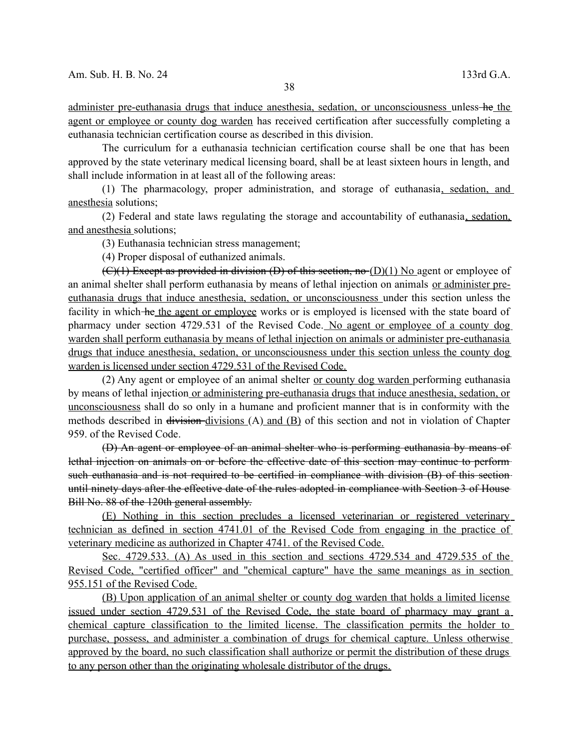administer pre-euthanasia drugs that induce anesthesia, sedation, or unconsciousness unless-the the agent or employee or county dog warden has received certification after successfully completing a euthanasia technician certification course as described in this division.

The curriculum for a euthanasia technician certification course shall be one that has been approved by the state veterinary medical licensing board, shall be at least sixteen hours in length, and shall include information in at least all of the following areas:

(1) The pharmacology, proper administration, and storage of euthanasia, sedation, and anesthesia solutions;

(2) Federal and state laws regulating the storage and accountability of euthanasia, sedation, and anesthesia solutions;

(3) Euthanasia technician stress management;

(4) Proper disposal of euthanized animals.

 $(C)(1)$  Except as provided in division (D) of this section, no  $(D)(1)$  No agent or employee of an animal shelter shall perform euthanasia by means of lethal injection on animals or administer preeuthanasia drugs that induce anesthesia, sedation, or unconsciousness under this section unless the facility in which he the agent or employee works or is employed is licensed with the state board of pharmacy under section 4729.531 of the Revised Code. No agent or employee of a county dog warden shall perform euthanasia by means of lethal injection on animals or administer pre-euthanasia drugs that induce anesthesia, sedation, or unconsciousness under this section unless the county dog warden is licensed under section 4729.531 of the Revised Code.

(2) Any agent or employee of an animal shelter or county dog warden performing euthanasia by means of lethal injection or administering pre-euthanasia drugs that induce anesthesia, sedation, or unconsciousness shall do so only in a humane and proficient manner that is in conformity with the methods described in division-divisions  $(A)$  and  $(B)$  of this section and not in violation of Chapter 959. of the Revised Code.

(D) An agent or employee of an animal shelter who is performing euthanasia by means of lethal injection on animals on or before the effective date of this section may continue to perform such euthanasia and is not required to be certified in compliance with division (B) of this section until ninety days after the effective date of the rules adopted in compliance with Section 3 of House Bill No. 88 of the 120th general assembly.

(E) Nothing in this section precludes a licensed veterinarian or registered veterinary technician as defined in section 4741.01 of the Revised Code from engaging in the practice of veterinary medicine as authorized in Chapter 4741. of the Revised Code.

 Sec. 4729.533. (A) As used in this section and sections 4729.534 and 4729.535 of the Revised Code, "certified officer" and "chemical capture" have the same meanings as in section 955.151 of the Revised Code.

(B) Upon application of an animal shelter or county dog warden that holds a limited license issued under section 4729.531 of the Revised Code, the state board of pharmacy may grant a chemical capture classification to the limited license. The classification permits the holder to purchase, possess, and administer a combination of drugs for chemical capture. Unless otherwise approved by the board, no such classification shall authorize or permit the distribution of these drugs to any person other than the originating wholesale distributor of the drugs.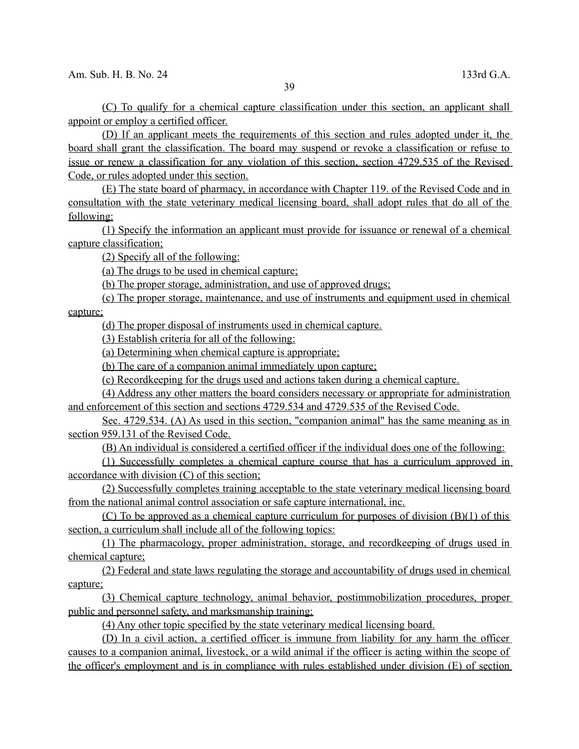(C) To qualify for a chemical capture classification under this section, an applicant shall appoint or employ a certified officer.

(D) If an applicant meets the requirements of this section and rules adopted under it, the board shall grant the classification. The board may suspend or revoke a classification or refuse to issue or renew a classification for any violation of this section, section 4729.535 of the Revised Code, or rules adopted under this section.

(E) The state board of pharmacy, in accordance with Chapter 119. of the Revised Code and in consultation with the state veterinary medical licensing board, shall adopt rules that do all of the following:

(1) Specify the information an applicant must provide for issuance or renewal of a chemical capture classification;

(2) Specify all of the following:

(a) The drugs to be used in chemical capture;

(b) The proper storage, administration, and use of approved drugs;

(c) The proper storage, maintenance, and use of instruments and equipment used in chemical capture;

(d) The proper disposal of instruments used in chemical capture.

(3) Establish criteria for all of the following:

(a) Determining when chemical capture is appropriate;

(b) The care of a companion animal immediately upon capture;

(c) Recordkeeping for the drugs used and actions taken during a chemical capture.

(4) Address any other matters the board considers necessary or appropriate for administration and enforcement of this section and sections 4729.534 and 4729.535 of the Revised Code.

 Sec. 4729.534. (A) As used in this section, "companion animal" has the same meaning as in section 959.131 of the Revised Code.

(B) An individual is considered a certified officer if the individual does one of the following:

(1) Successfully completes a chemical capture course that has a curriculum approved in accordance with division (C) of this section;

(2) Successfully completes training acceptable to the state veterinary medical licensing board from the national animal control association or safe capture international, inc.

(C) To be approved as a chemical capture curriculum for purposes of division (B)(1) of this section, a curriculum shall include all of the following topics:

(1) The pharmacology, proper administration, storage, and recordkeeping of drugs used in chemical capture;

(2) Federal and state laws regulating the storage and accountability of drugs used in chemical capture;

(3) Chemical capture technology, animal behavior, postimmobilization procedures, proper public and personnel safety, and marksmanship training;

(4) Any other topic specified by the state veterinary medical licensing board.

(D) In a civil action, a certified officer is immune from liability for any harm the officer causes to a companion animal, livestock, or a wild animal if the officer is acting within the scope of the officer's employment and is in compliance with rules established under division (E) of section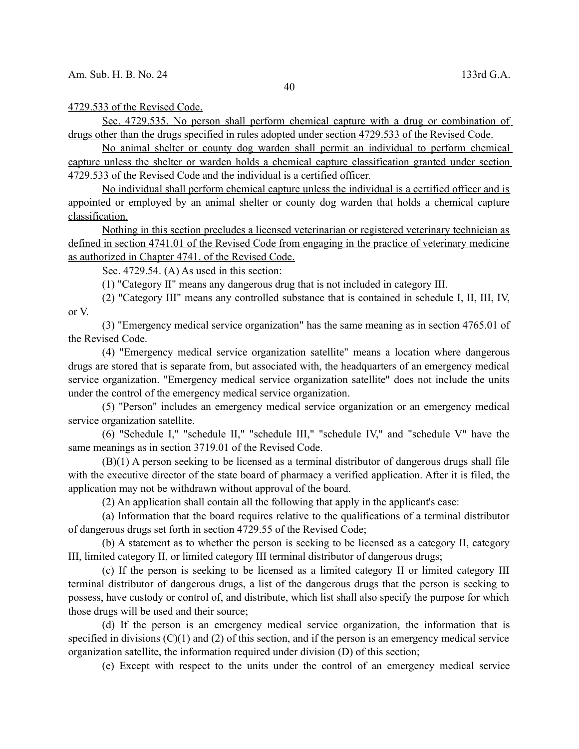4729.533 of the Revised Code.

 Sec. 4729.535. No person shall perform chemical capture with a drug or combination of drugs other than the drugs specified in rules adopted under section 4729.533 of the Revised Code.

No animal shelter or county dog warden shall permit an individual to perform chemical capture unless the shelter or warden holds a chemical capture classification granted under section 4729.533 of the Revised Code and the individual is a certified officer.

No individual shall perform chemical capture unless the individual is a certified officer and is appointed or employed by an animal shelter or county dog warden that holds a chemical capture classification.

Nothing in this section precludes a licensed veterinarian or registered veterinary technician as defined in section 4741.01 of the Revised Code from engaging in the practice of veterinary medicine as authorized in Chapter 4741. of the Revised Code.

Sec. 4729.54. (A) As used in this section:

(1) "Category II" means any dangerous drug that is not included in category III.

(2) "Category III" means any controlled substance that is contained in schedule I, II, III, IV, or V.

(3) "Emergency medical service organization" has the same meaning as in section 4765.01 of the Revised Code.

(4) "Emergency medical service organization satellite" means a location where dangerous drugs are stored that is separate from, but associated with, the headquarters of an emergency medical service organization. "Emergency medical service organization satellite" does not include the units under the control of the emergency medical service organization.

(5) "Person" includes an emergency medical service organization or an emergency medical service organization satellite.

(6) "Schedule I," "schedule II," "schedule III," "schedule IV," and "schedule V" have the same meanings as in section 3719.01 of the Revised Code.

(B)(1) A person seeking to be licensed as a terminal distributor of dangerous drugs shall file with the executive director of the state board of pharmacy a verified application. After it is filed, the application may not be withdrawn without approval of the board.

(2) An application shall contain all the following that apply in the applicant's case:

(a) Information that the board requires relative to the qualifications of a terminal distributor of dangerous drugs set forth in section 4729.55 of the Revised Code;

(b) A statement as to whether the person is seeking to be licensed as a category II, category III, limited category II, or limited category III terminal distributor of dangerous drugs;

(c) If the person is seeking to be licensed as a limited category II or limited category III terminal distributor of dangerous drugs, a list of the dangerous drugs that the person is seeking to possess, have custody or control of, and distribute, which list shall also specify the purpose for which those drugs will be used and their source;

(d) If the person is an emergency medical service organization, the information that is specified in divisions  $(C)(1)$  and  $(2)$  of this section, and if the person is an emergency medical service organization satellite, the information required under division (D) of this section;

(e) Except with respect to the units under the control of an emergency medical service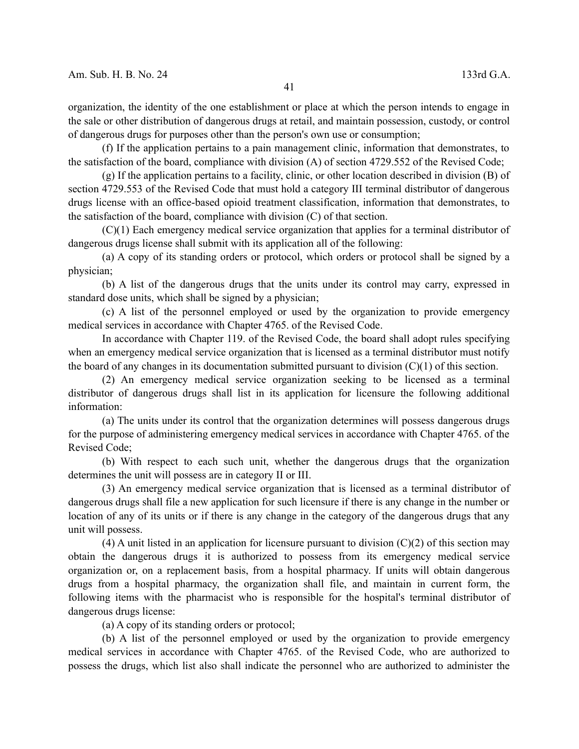organization, the identity of the one establishment or place at which the person intends to engage in the sale or other distribution of dangerous drugs at retail, and maintain possession, custody, or control of dangerous drugs for purposes other than the person's own use or consumption;

(f) If the application pertains to a pain management clinic, information that demonstrates, to the satisfaction of the board, compliance with division (A) of section 4729.552 of the Revised Code;

(g) If the application pertains to a facility, clinic, or other location described in division (B) of section 4729.553 of the Revised Code that must hold a category III terminal distributor of dangerous drugs license with an office-based opioid treatment classification, information that demonstrates, to the satisfaction of the board, compliance with division (C) of that section.

(C)(1) Each emergency medical service organization that applies for a terminal distributor of dangerous drugs license shall submit with its application all of the following:

(a) A copy of its standing orders or protocol, which orders or protocol shall be signed by a physician;

(b) A list of the dangerous drugs that the units under its control may carry, expressed in standard dose units, which shall be signed by a physician;

(c) A list of the personnel employed or used by the organization to provide emergency medical services in accordance with Chapter 4765. of the Revised Code.

In accordance with Chapter 119. of the Revised Code, the board shall adopt rules specifying when an emergency medical service organization that is licensed as a terminal distributor must notify the board of any changes in its documentation submitted pursuant to division (C)(1) of this section.

(2) An emergency medical service organization seeking to be licensed as a terminal distributor of dangerous drugs shall list in its application for licensure the following additional information:

(a) The units under its control that the organization determines will possess dangerous drugs for the purpose of administering emergency medical services in accordance with Chapter 4765. of the Revised Code;

(b) With respect to each such unit, whether the dangerous drugs that the organization determines the unit will possess are in category II or III.

(3) An emergency medical service organization that is licensed as a terminal distributor of dangerous drugs shall file a new application for such licensure if there is any change in the number or location of any of its units or if there is any change in the category of the dangerous drugs that any unit will possess.

 $(4)$  A unit listed in an application for licensure pursuant to division  $(C)(2)$  of this section may obtain the dangerous drugs it is authorized to possess from its emergency medical service organization or, on a replacement basis, from a hospital pharmacy. If units will obtain dangerous drugs from a hospital pharmacy, the organization shall file, and maintain in current form, the following items with the pharmacist who is responsible for the hospital's terminal distributor of dangerous drugs license:

(a) A copy of its standing orders or protocol;

(b) A list of the personnel employed or used by the organization to provide emergency medical services in accordance with Chapter 4765. of the Revised Code, who are authorized to possess the drugs, which list also shall indicate the personnel who are authorized to administer the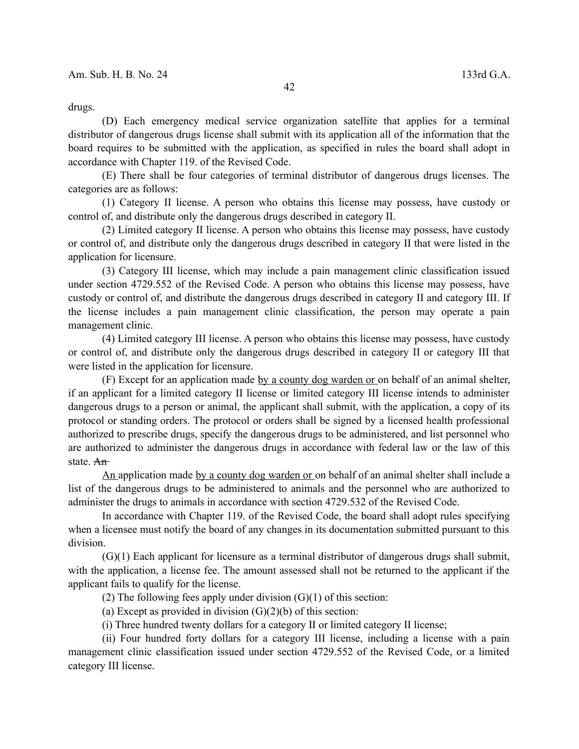drugs.

(D) Each emergency medical service organization satellite that applies for a terminal distributor of dangerous drugs license shall submit with its application all of the information that the board requires to be submitted with the application, as specified in rules the board shall adopt in accordance with Chapter 119. of the Revised Code.

(E) There shall be four categories of terminal distributor of dangerous drugs licenses. The categories are as follows:

(1) Category II license. A person who obtains this license may possess, have custody or control of, and distribute only the dangerous drugs described in category II.

(2) Limited category II license. A person who obtains this license may possess, have custody or control of, and distribute only the dangerous drugs described in category II that were listed in the application for licensure.

(3) Category III license, which may include a pain management clinic classification issued under section 4729.552 of the Revised Code. A person who obtains this license may possess, have custody or control of, and distribute the dangerous drugs described in category II and category III. If the license includes a pain management clinic classification, the person may operate a pain management clinic.

(4) Limited category III license. A person who obtains this license may possess, have custody or control of, and distribute only the dangerous drugs described in category II or category III that were listed in the application for licensure.

(F) Except for an application made by a county dog warden or on behalf of an animal shelter, if an applicant for a limited category II license or limited category III license intends to administer dangerous drugs to a person or animal, the applicant shall submit, with the application, a copy of its protocol or standing orders. The protocol or orders shall be signed by a licensed health professional authorized to prescribe drugs, specify the dangerous drugs to be administered, and list personnel who are authorized to administer the dangerous drugs in accordance with federal law or the law of this state. An-

An application made by a county dog warden or on behalf of an animal shelter shall include a list of the dangerous drugs to be administered to animals and the personnel who are authorized to administer the drugs to animals in accordance with section 4729.532 of the Revised Code.

In accordance with Chapter 119. of the Revised Code, the board shall adopt rules specifying when a licensee must notify the board of any changes in its documentation submitted pursuant to this division.

(G)(1) Each applicant for licensure as a terminal distributor of dangerous drugs shall submit, with the application, a license fee. The amount assessed shall not be returned to the applicant if the applicant fails to qualify for the license.

(2) The following fees apply under division  $(G)(1)$  of this section:

(a) Except as provided in division  $(G)(2)(b)$  of this section:

(i) Three hundred twenty dollars for a category II or limited category II license;

(ii) Four hundred forty dollars for a category III license, including a license with a pain management clinic classification issued under section 4729.552 of the Revised Code, or a limited category III license.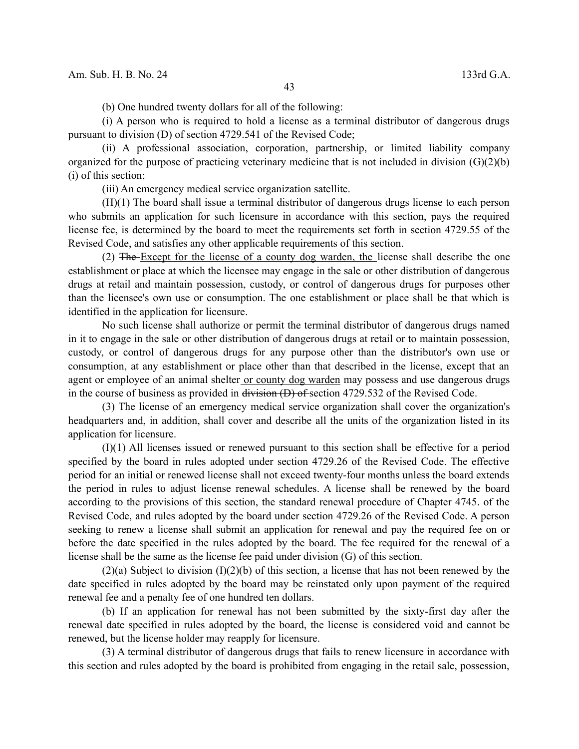(b) One hundred twenty dollars for all of the following:

(i) A person who is required to hold a license as a terminal distributor of dangerous drugs pursuant to division (D) of section 4729.541 of the Revised Code;

(ii) A professional association, corporation, partnership, or limited liability company organized for the purpose of practicing veterinary medicine that is not included in division  $(G)(2)(b)$ (i) of this section;

(iii) An emergency medical service organization satellite.

(H)(1) The board shall issue a terminal distributor of dangerous drugs license to each person who submits an application for such licensure in accordance with this section, pays the required license fee, is determined by the board to meet the requirements set forth in section 4729.55 of the Revised Code, and satisfies any other applicable requirements of this section.

(2) The Except for the license of a county dog warden, the license shall describe the one establishment or place at which the licensee may engage in the sale or other distribution of dangerous drugs at retail and maintain possession, custody, or control of dangerous drugs for purposes other than the licensee's own use or consumption. The one establishment or place shall be that which is identified in the application for licensure.

No such license shall authorize or permit the terminal distributor of dangerous drugs named in it to engage in the sale or other distribution of dangerous drugs at retail or to maintain possession, custody, or control of dangerous drugs for any purpose other than the distributor's own use or consumption, at any establishment or place other than that described in the license, except that an agent or employee of an animal shelter or county dog warden may possess and use dangerous drugs in the course of business as provided in division (D) of section 4729.532 of the Revised Code.

(3) The license of an emergency medical service organization shall cover the organization's headquarters and, in addition, shall cover and describe all the units of the organization listed in its application for licensure.

(I)(1) All licenses issued or renewed pursuant to this section shall be effective for a period specified by the board in rules adopted under section 4729.26 of the Revised Code. The effective period for an initial or renewed license shall not exceed twenty-four months unless the board extends the period in rules to adjust license renewal schedules. A license shall be renewed by the board according to the provisions of this section, the standard renewal procedure of Chapter 4745. of the Revised Code, and rules adopted by the board under section 4729.26 of the Revised Code. A person seeking to renew a license shall submit an application for renewal and pay the required fee on or before the date specified in the rules adopted by the board. The fee required for the renewal of a license shall be the same as the license fee paid under division (G) of this section.

 $(2)(a)$  Subject to division  $(I)(2)(b)$  of this section, a license that has not been renewed by the date specified in rules adopted by the board may be reinstated only upon payment of the required renewal fee and a penalty fee of one hundred ten dollars.

(b) If an application for renewal has not been submitted by the sixty-first day after the renewal date specified in rules adopted by the board, the license is considered void and cannot be renewed, but the license holder may reapply for licensure.

(3) A terminal distributor of dangerous drugs that fails to renew licensure in accordance with this section and rules adopted by the board is prohibited from engaging in the retail sale, possession,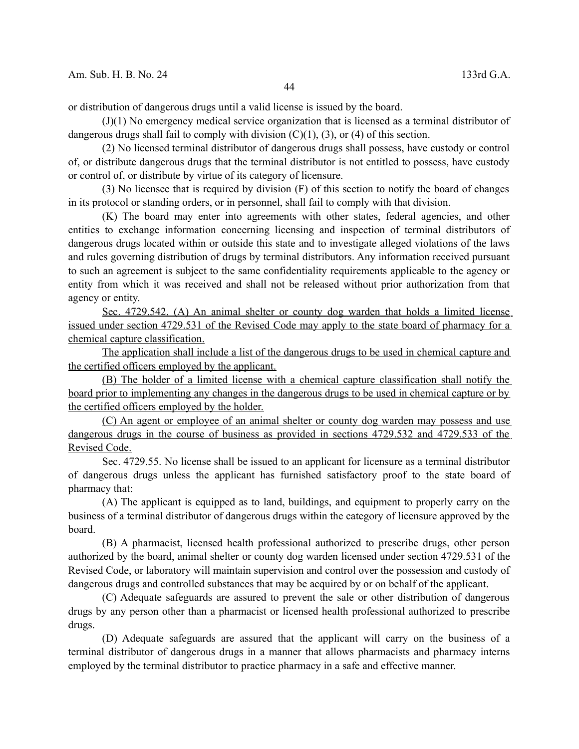or distribution of dangerous drugs until a valid license is issued by the board.

(J)(1) No emergency medical service organization that is licensed as a terminal distributor of dangerous drugs shall fail to comply with division  $(C)(1)$ ,  $(3)$ , or  $(4)$  of this section.

(2) No licensed terminal distributor of dangerous drugs shall possess, have custody or control of, or distribute dangerous drugs that the terminal distributor is not entitled to possess, have custody or control of, or distribute by virtue of its category of licensure.

(3) No licensee that is required by division (F) of this section to notify the board of changes in its protocol or standing orders, or in personnel, shall fail to comply with that division.

(K) The board may enter into agreements with other states, federal agencies, and other entities to exchange information concerning licensing and inspection of terminal distributors of dangerous drugs located within or outside this state and to investigate alleged violations of the laws and rules governing distribution of drugs by terminal distributors. Any information received pursuant to such an agreement is subject to the same confidentiality requirements applicable to the agency or entity from which it was received and shall not be released without prior authorization from that agency or entity.

 Sec. 4729.542. (A) An animal shelter or county dog warden that holds a limited license issued under section 4729.531 of the Revised Code may apply to the state board of pharmacy for a chemical capture classification.

The application shall include a list of the dangerous drugs to be used in chemical capture and the certified officers employed by the applicant.

(B) The holder of a limited license with a chemical capture classification shall notify the board prior to implementing any changes in the dangerous drugs to be used in chemical capture or by the certified officers employed by the holder.

(C) An agent or employee of an animal shelter or county dog warden may possess and use dangerous drugs in the course of business as provided in sections 4729.532 and 4729.533 of the Revised Code.

Sec. 4729.55. No license shall be issued to an applicant for licensure as a terminal distributor of dangerous drugs unless the applicant has furnished satisfactory proof to the state board of pharmacy that:

(A) The applicant is equipped as to land, buildings, and equipment to properly carry on the business of a terminal distributor of dangerous drugs within the category of licensure approved by the board.

(B) A pharmacist, licensed health professional authorized to prescribe drugs, other person authorized by the board, animal shelter or county dog warden licensed under section 4729.531 of the Revised Code, or laboratory will maintain supervision and control over the possession and custody of dangerous drugs and controlled substances that may be acquired by or on behalf of the applicant.

(C) Adequate safeguards are assured to prevent the sale or other distribution of dangerous drugs by any person other than a pharmacist or licensed health professional authorized to prescribe drugs.

(D) Adequate safeguards are assured that the applicant will carry on the business of a terminal distributor of dangerous drugs in a manner that allows pharmacists and pharmacy interns employed by the terminal distributor to practice pharmacy in a safe and effective manner.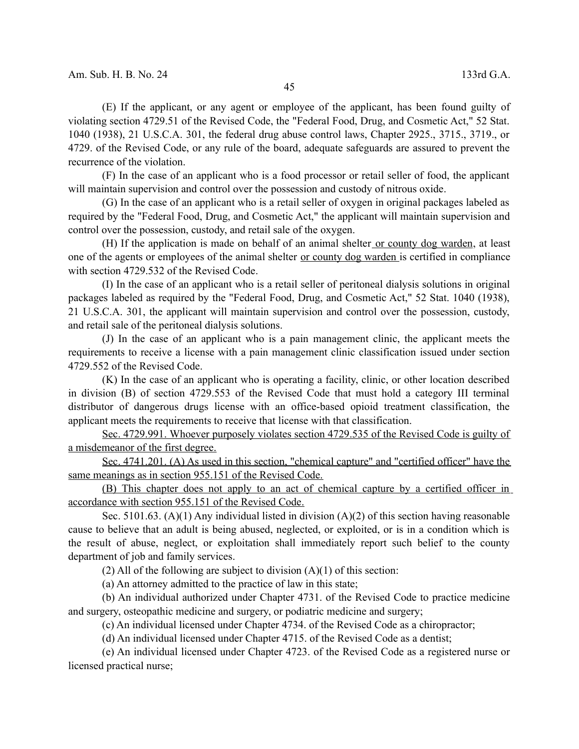(E) If the applicant, or any agent or employee of the applicant, has been found guilty of violating section 4729.51 of the Revised Code, the "Federal Food, Drug, and Cosmetic Act," 52 Stat. 1040 (1938), 21 U.S.C.A. 301, the federal drug abuse control laws, Chapter 2925., 3715., 3719., or 4729. of the Revised Code, or any rule of the board, adequate safeguards are assured to prevent the recurrence of the violation.

(F) In the case of an applicant who is a food processor or retail seller of food, the applicant will maintain supervision and control over the possession and custody of nitrous oxide.

(G) In the case of an applicant who is a retail seller of oxygen in original packages labeled as required by the "Federal Food, Drug, and Cosmetic Act," the applicant will maintain supervision and control over the possession, custody, and retail sale of the oxygen.

(H) If the application is made on behalf of an animal shelter or county dog warden, at least one of the agents or employees of the animal shelter or county dog warden is certified in compliance with section 4729.532 of the Revised Code.

(I) In the case of an applicant who is a retail seller of peritoneal dialysis solutions in original packages labeled as required by the "Federal Food, Drug, and Cosmetic Act," 52 Stat. 1040 (1938), 21 U.S.C.A. 301, the applicant will maintain supervision and control over the possession, custody, and retail sale of the peritoneal dialysis solutions.

(J) In the case of an applicant who is a pain management clinic, the applicant meets the requirements to receive a license with a pain management clinic classification issued under section 4729.552 of the Revised Code.

(K) In the case of an applicant who is operating a facility, clinic, or other location described in division (B) of section 4729.553 of the Revised Code that must hold a category III terminal distributor of dangerous drugs license with an office-based opioid treatment classification, the applicant meets the requirements to receive that license with that classification.

 Sec. 4729.991. Whoever purposely violates section 4729.535 of the Revised Code is guilty of a misdemeanor of the first degree.

 Sec. 4741.201. (A) As used in this section, "chemical capture" and "certified officer" have the same meanings as in section 955.151 of the Revised Code.

(B) This chapter does not apply to an act of chemical capture by a certified officer in accordance with section 955.151 of the Revised Code.

Sec. 5101.63. (A)(1) Any individual listed in division (A)(2) of this section having reasonable cause to believe that an adult is being abused, neglected, or exploited, or is in a condition which is the result of abuse, neglect, or exploitation shall immediately report such belief to the county department of job and family services.

(2) All of the following are subject to division  $(A)(1)$  of this section:

(a) An attorney admitted to the practice of law in this state;

(b) An individual authorized under Chapter 4731. of the Revised Code to practice medicine and surgery, osteopathic medicine and surgery, or podiatric medicine and surgery;

(c) An individual licensed under Chapter 4734. of the Revised Code as a chiropractor;

(d) An individual licensed under Chapter 4715. of the Revised Code as a dentist;

(e) An individual licensed under Chapter 4723. of the Revised Code as a registered nurse or licensed practical nurse;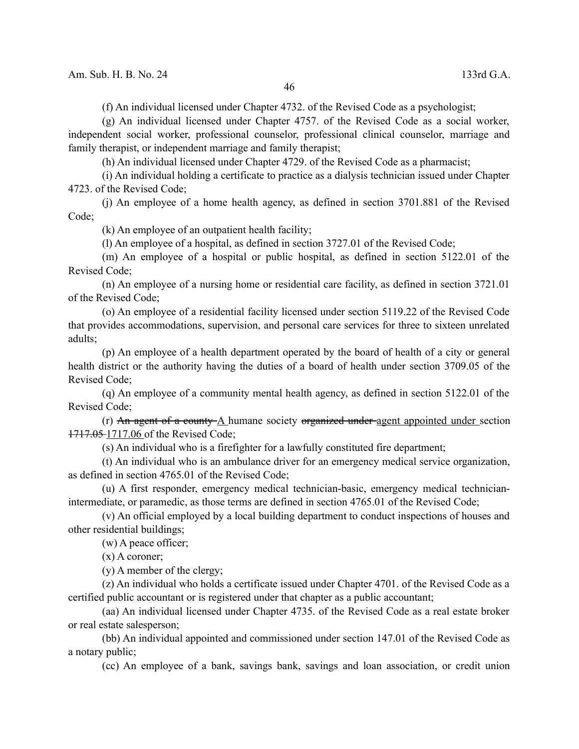(f) An individual licensed under Chapter 4732. of the Revised Code as a psychologist;

(g) An individual licensed under Chapter 4757. of the Revised Code as a social worker, independent social worker, professional counselor, professional clinical counselor, marriage and family therapist, or independent marriage and family therapist;

(h) An individual licensed under Chapter 4729. of the Revised Code as a pharmacist;

(i) An individual holding a certificate to practice as a dialysis technician issued under Chapter 4723. of the Revised Code;

(j) An employee of a home health agency, as defined in section 3701.881 of the Revised Code;

(k) An employee of an outpatient health facility;

(l) An employee of a hospital, as defined in section 3727.01 of the Revised Code;

(m) An employee of a hospital or public hospital, as defined in section 5122.01 of the Revised Code;

(n) An employee of a nursing home or residential care facility, as defined in section 3721.01 of the Revised Code;

(o) An employee of a residential facility licensed under section 5119.22 of the Revised Code that provides accommodations, supervision, and personal care services for three to sixteen unrelated adults;

(p) An employee of a health department operated by the board of health of a city or general health district or the authority having the duties of a board of health under section 3709.05 of the Revised Code;

(q) An employee of a community mental health agency, as defined in section 5122.01 of the Revised Code;

(r) An agent of a county  $\Delta$  humane society organized under agent appointed under section 1717.05 1717.06 of the Revised Code;

(s) An individual who is a firefighter for a lawfully constituted fire department;

(t) An individual who is an ambulance driver for an emergency medical service organization, as defined in section 4765.01 of the Revised Code;

(u) A first responder, emergency medical technician-basic, emergency medical technicianintermediate, or paramedic, as those terms are defined in section 4765.01 of the Revised Code;

(v) An official employed by a local building department to conduct inspections of houses and other residential buildings;

(w) A peace officer;

(x) A coroner;

(y) A member of the clergy;

(z) An individual who holds a certificate issued under Chapter 4701. of the Revised Code as a certified public accountant or is registered under that chapter as a public accountant;

(aa) An individual licensed under Chapter 4735. of the Revised Code as a real estate broker or real estate salesperson;

(bb) An individual appointed and commissioned under section 147.01 of the Revised Code as a notary public;

(cc) An employee of a bank, savings bank, savings and loan association, or credit union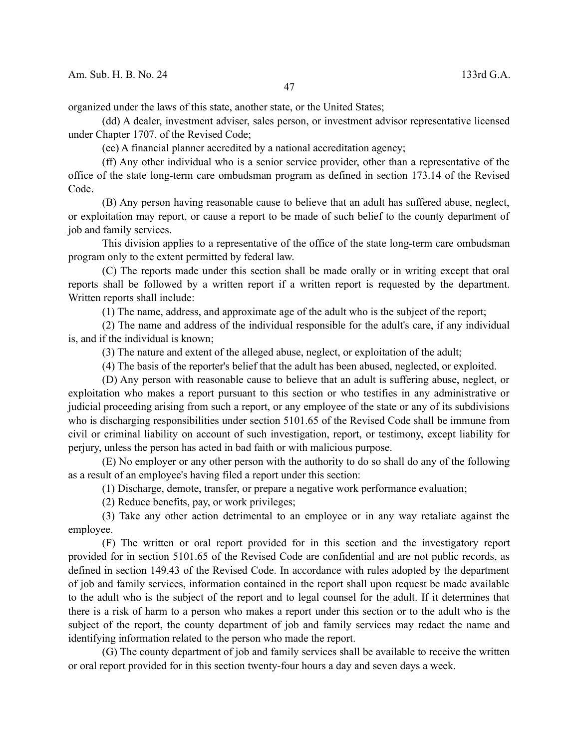organized under the laws of this state, another state, or the United States;

(dd) A dealer, investment adviser, sales person, or investment advisor representative licensed under Chapter 1707. of the Revised Code;

(ee) A financial planner accredited by a national accreditation agency;

(ff) Any other individual who is a senior service provider, other than a representative of the office of the state long-term care ombudsman program as defined in section 173.14 of the Revised Code.

(B) Any person having reasonable cause to believe that an adult has suffered abuse, neglect, or exploitation may report, or cause a report to be made of such belief to the county department of job and family services.

This division applies to a representative of the office of the state long-term care ombudsman program only to the extent permitted by federal law.

(C) The reports made under this section shall be made orally or in writing except that oral reports shall be followed by a written report if a written report is requested by the department. Written reports shall include:

(1) The name, address, and approximate age of the adult who is the subject of the report;

(2) The name and address of the individual responsible for the adult's care, if any individual is, and if the individual is known;

(3) The nature and extent of the alleged abuse, neglect, or exploitation of the adult;

(4) The basis of the reporter's belief that the adult has been abused, neglected, or exploited.

(D) Any person with reasonable cause to believe that an adult is suffering abuse, neglect, or exploitation who makes a report pursuant to this section or who testifies in any administrative or judicial proceeding arising from such a report, or any employee of the state or any of its subdivisions who is discharging responsibilities under section 5101.65 of the Revised Code shall be immune from civil or criminal liability on account of such investigation, report, or testimony, except liability for perjury, unless the person has acted in bad faith or with malicious purpose.

(E) No employer or any other person with the authority to do so shall do any of the following as a result of an employee's having filed a report under this section:

(1) Discharge, demote, transfer, or prepare a negative work performance evaluation;

(2) Reduce benefits, pay, or work privileges;

(3) Take any other action detrimental to an employee or in any way retaliate against the employee.

(F) The written or oral report provided for in this section and the investigatory report provided for in section 5101.65 of the Revised Code are confidential and are not public records, as defined in section 149.43 of the Revised Code. In accordance with rules adopted by the department of job and family services, information contained in the report shall upon request be made available to the adult who is the subject of the report and to legal counsel for the adult. If it determines that there is a risk of harm to a person who makes a report under this section or to the adult who is the subject of the report, the county department of job and family services may redact the name and identifying information related to the person who made the report.

(G) The county department of job and family services shall be available to receive the written or oral report provided for in this section twenty-four hours a day and seven days a week.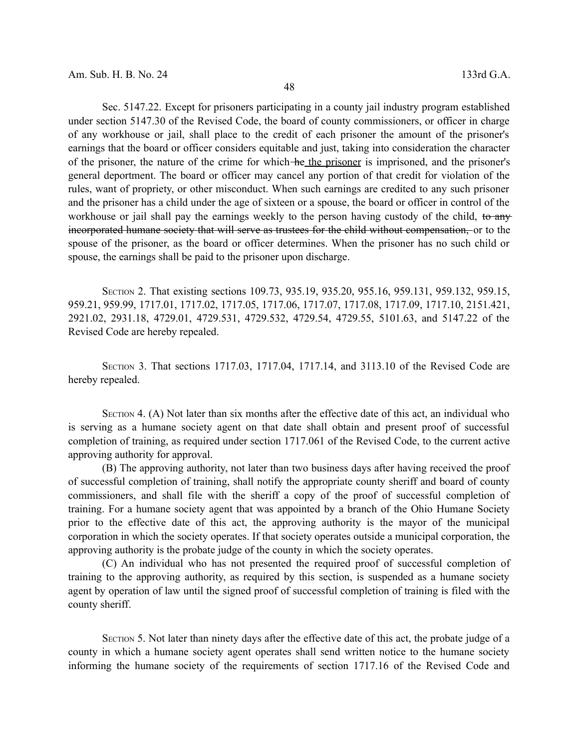Sec. 5147.22. Except for prisoners participating in a county jail industry program established under section 5147.30 of the Revised Code, the board of county commissioners, or officer in charge of any workhouse or jail, shall place to the credit of each prisoner the amount of the prisoner's earnings that the board or officer considers equitable and just, taking into consideration the character of the prisoner, the nature of the crime for which he the prisoner is imprisoned, and the prisoner's general deportment. The board or officer may cancel any portion of that credit for violation of the rules, want of propriety, or other misconduct. When such earnings are credited to any such prisoner and the prisoner has a child under the age of sixteen or a spouse, the board or officer in control of the workhouse or jail shall pay the earnings weekly to the person having custody of the child, to any incorporated humane society that will serve as trustees for the child without compensation, or to the spouse of the prisoner, as the board or officer determines. When the prisoner has no such child or spouse, the earnings shall be paid to the prisoner upon discharge.

SECTION 2. That existing sections 109.73, 935.19, 935.20, 955.16, 959.131, 959.132, 959.15, 959.21, 959.99, 1717.01, 1717.02, 1717.05, 1717.06, 1717.07, 1717.08, 1717.09, 1717.10, 2151.421, 2921.02, 2931.18, 4729.01, 4729.531, 4729.532, 4729.54, 4729.55, 5101.63, and 5147.22 of the Revised Code are hereby repealed.

SECTION 3. That sections 1717.03, 1717.04, 1717.14, and 3113.10 of the Revised Code are hereby repealed.

SECTION 4. (A) Not later than six months after the effective date of this act, an individual who is serving as a humane society agent on that date shall obtain and present proof of successful completion of training, as required under section 1717.061 of the Revised Code, to the current active approving authority for approval.

(B) The approving authority, not later than two business days after having received the proof of successful completion of training, shall notify the appropriate county sheriff and board of county commissioners, and shall file with the sheriff a copy of the proof of successful completion of training. For a humane society agent that was appointed by a branch of the Ohio Humane Society prior to the effective date of this act, the approving authority is the mayor of the municipal corporation in which the society operates. If that society operates outside a municipal corporation, the approving authority is the probate judge of the county in which the society operates.

(C) An individual who has not presented the required proof of successful completion of training to the approving authority, as required by this section, is suspended as a humane society agent by operation of law until the signed proof of successful completion of training is filed with the county sheriff.

SECTION 5. Not later than ninety days after the effective date of this act, the probate judge of a county in which a humane society agent operates shall send written notice to the humane society informing the humane society of the requirements of section 1717.16 of the Revised Code and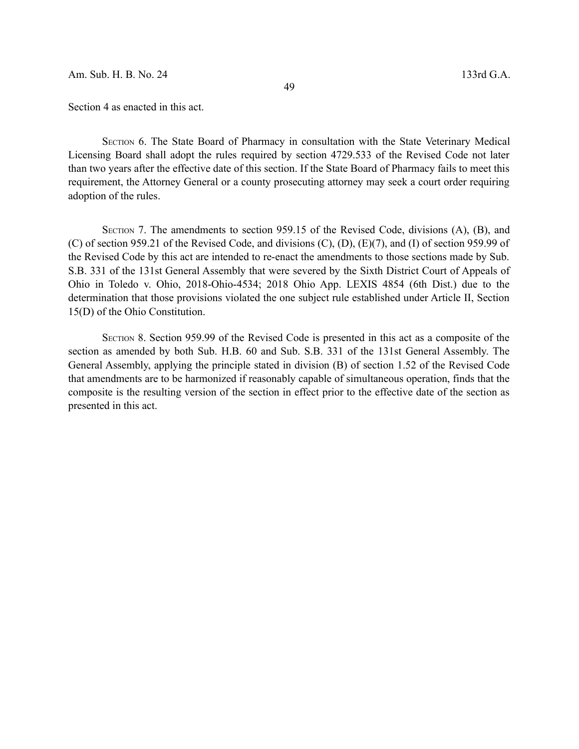Section 4 as enacted in this act.

SECTION 6. The State Board of Pharmacy in consultation with the State Veterinary Medical Licensing Board shall adopt the rules required by section 4729.533 of the Revised Code not later than two years after the effective date of this section. If the State Board of Pharmacy fails to meet this requirement, the Attorney General or a county prosecuting attorney may seek a court order requiring adoption of the rules.

SECTION 7. The amendments to section 959.15 of the Revised Code, divisions (A), (B), and (C) of section 959.21 of the Revised Code, and divisions (C), (D), (E)(7), and (I) of section 959.99 of the Revised Code by this act are intended to re-enact the amendments to those sections made by Sub. S.B. 331 of the 131st General Assembly that were severed by the Sixth District Court of Appeals of Ohio in Toledo v. Ohio, 2018-Ohio-4534; 2018 Ohio App. LEXIS 4854 (6th Dist.) due to the determination that those provisions violated the one subject rule established under Article II, Section 15(D) of the Ohio Constitution.

SECTION 8. Section 959.99 of the Revised Code is presented in this act as a composite of the section as amended by both Sub. H.B. 60 and Sub. S.B. 331 of the 131st General Assembly. The General Assembly, applying the principle stated in division (B) of section 1.52 of the Revised Code that amendments are to be harmonized if reasonably capable of simultaneous operation, finds that the composite is the resulting version of the section in effect prior to the effective date of the section as presented in this act.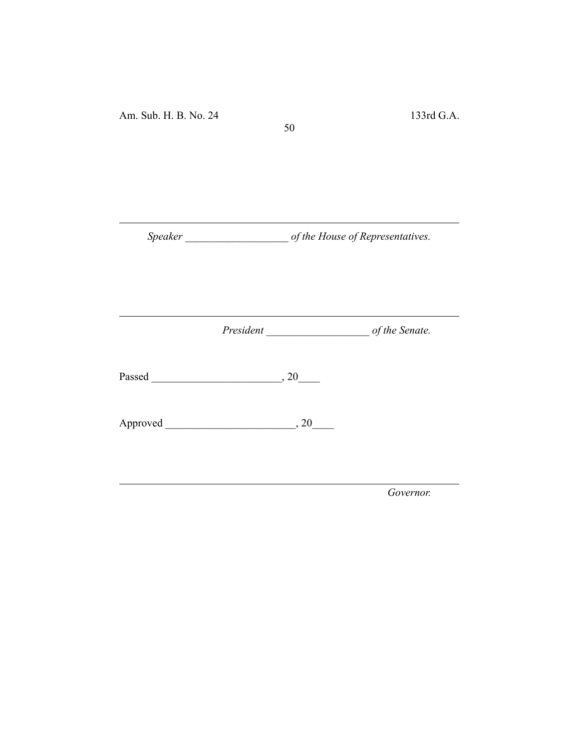*Speaker \_\_\_\_\_\_\_\_\_\_\_\_\_\_\_\_\_\_\_ of the House of Representatives.*

50

*President \_\_\_\_\_\_\_\_\_\_\_\_\_\_\_\_\_\_\_ of the Senate.*

Passed \_\_\_\_\_\_\_\_\_\_\_\_\_\_\_\_\_\_\_\_\_\_\_\_, 20\_\_\_\_

Approved \_\_\_\_\_\_\_\_\_\_\_\_\_\_\_\_\_\_\_\_\_\_\_\_, 20\_\_\_\_

*Governor.*